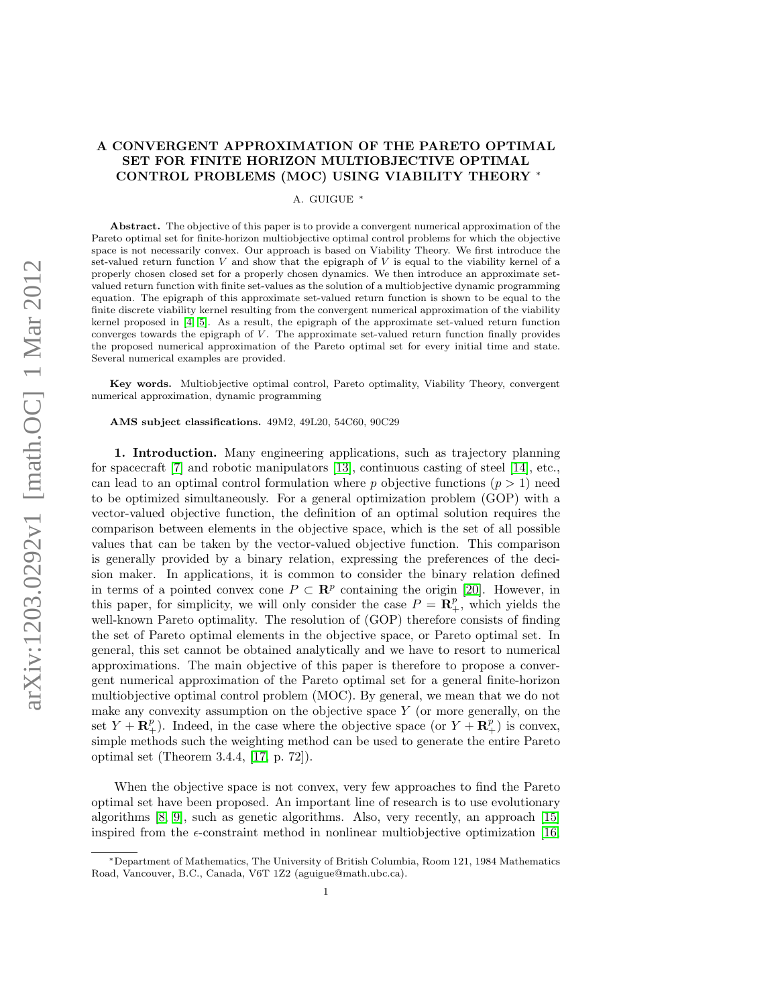# A CONVERGENT APPROXIMATION OF THE PARETO OPTIMAL SET FOR FINITE HORIZON MULTIOBJECTIVE OPTIMAL CONTROL PROBLEMS (MOC) USING VIABILITY THEORY <sup>∗</sup>

A. GUIGUE <sup>∗</sup>

Abstract. The objective of this paper is to provide a convergent numerical approximation of the Pareto optimal set for finite-horizon multiobjective optimal control problems for which the objective space is not necessarily convex. Our approach is based on Viability Theory. We first introduce the set-valued return function  $V$  and show that the epigraph of  $V$  is equal to the viability kernel of a properly chosen closed set for a properly chosen dynamics. We then introduce an approximate setvalued return function with finite set-values as the solution of a multiobjective dynamic programming equation. The epigraph of this approximate set-valued return function is shown to be equal to the finite discrete viability kernel resulting from the convergent numerical approximation of the viability kernel proposed in [\[4,](#page-23-0) [5\]](#page-23-1). As a result, the epigraph of the approximate set-valued return function converges towards the epigraph of  $V$ . The approximate set-valued return function finally provides the proposed numerical approximation of the Pareto optimal set for every initial time and state. Several numerical examples are provided.

Key words. Multiobjective optimal control, Pareto optimality, Viability Theory, convergent numerical approximation, dynamic programming

AMS subject classifications. 49M2, 49L20, 54C60, 90C29

1. Introduction. Many engineering applications, such as trajectory planning for spacecraft [\[7\]](#page-23-2) and robotic manipulators [\[13\]](#page-24-0), continuous casting of steel [\[14\]](#page-24-1), etc., can lead to an optimal control formulation where p objective functions  $(p > 1)$  need to be optimized simultaneously. For a general optimization problem (GOP) with a vector-valued objective function, the definition of an optimal solution requires the comparison between elements in the objective space, which is the set of all possible values that can be taken by the vector-valued objective function. This comparison is generally provided by a binary relation, expressing the preferences of the decision maker. In applications, it is common to consider the binary relation defined in terms of a pointed convex cone  $P \subset \mathbb{R}^p$  containing the origin [\[20\]](#page-24-2). However, in this paper, for simplicity, we will only consider the case  $P = \mathbf{R}_{+}^{p}$ , which yields the well-known Pareto optimality. The resolution of (GOP) therefore consists of finding the set of Pareto optimal elements in the objective space, or Pareto optimal set. In general, this set cannot be obtained analytically and we have to resort to numerical approximations. The main objective of this paper is therefore to propose a convergent numerical approximation of the Pareto optimal set for a general finite-horizon multiobjective optimal control problem (MOC). By general, we mean that we do not make any convexity assumption on the objective space  $Y$  (or more generally, on the set  $Y + \mathbf{R}_{+}^{p}$ ). Indeed, in the case where the objective space (or  $Y + \mathbf{R}_{+}^{p}$ ) is convex, simple methods such the weighting method can be used to generate the entire Pareto optimal set (Theorem 3.4.4, [\[17,](#page-24-3) p. 72]).

When the objective space is not convex, very few approaches to find the Pareto optimal set have been proposed. An important line of research is to use evolutionary algorithms [\[8,](#page-23-3) [9\]](#page-23-4), such as genetic algorithms. Also, very recently, an approach [\[15\]](#page-24-4) inspired from the  $\epsilon$ -constraint method in nonlinear multiobjective optimization [\[16,](#page-24-5)

<sup>∗</sup>Department of Mathematics, The University of British Columbia, Room 121, 1984 Mathematics Road, Vancouver, B.C., Canada, V6T 1Z2 (aguigue@math.ubc.ca).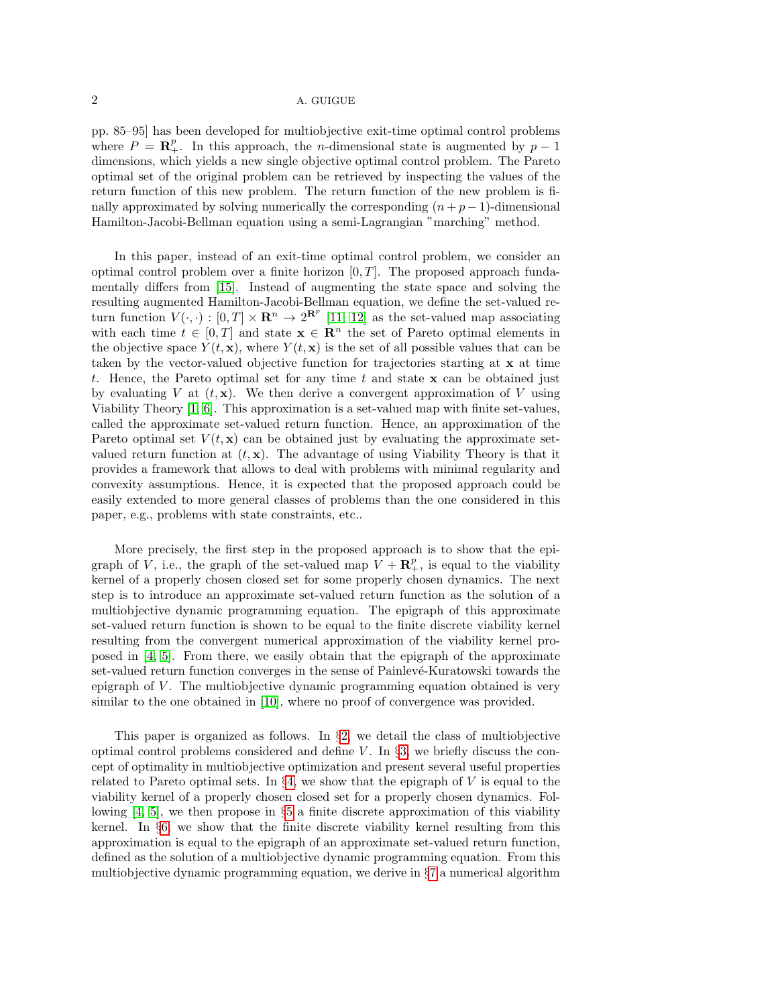pp. 85–95] has been developed for multiobjective exit-time optimal control problems where  $P = \mathbb{R}^p_+$ . In this approach, the *n*-dimensional state is augmented by  $p-1$ dimensions, which yields a new single objective optimal control problem. The Pareto optimal set of the original problem can be retrieved by inspecting the values of the return function of this new problem. The return function of the new problem is finally approximated by solving numerically the corresponding  $(n+p-1)$ -dimensional Hamilton-Jacobi-Bellman equation using a semi-Lagrangian "marching" method.

In this paper, instead of an exit-time optimal control problem, we consider an optimal control problem over a finite horizon  $[0, T]$ . The proposed approach fundamentally differs from [\[15\]](#page-24-4). Instead of augmenting the state space and solving the resulting augmented Hamilton-Jacobi-Bellman equation, we define the set-valued return function  $V(\cdot, \cdot) : [0, T] \times \mathbf{R}^n \to 2^{\mathbf{R}^p}$  [\[11,](#page-24-6) [12\]](#page-24-7) as the set-valued map associating with each time  $t \in [0, T]$  and state  $\mathbf{x} \in \mathbb{R}^n$  the set of Pareto optimal elements in the objective space  $Y(t, \mathbf{x})$ , where  $Y(t, \mathbf{x})$  is the set of all possible values that can be taken by the vector-valued objective function for trajectories starting at x at time t. Hence, the Pareto optimal set for any time t and state  $x$  can be obtained just by evaluating V at  $(t, x)$ . We then derive a convergent approximation of V using Viability Theory [\[1,](#page-23-5) [6\]](#page-23-6). This approximation is a set-valued map with finite set-values, called the approximate set-valued return function. Hence, an approximation of the Pareto optimal set  $V(t, x)$  can be obtained just by evaluating the approximate setvalued return function at  $(t, x)$ . The advantage of using Viability Theory is that it provides a framework that allows to deal with problems with minimal regularity and convexity assumptions. Hence, it is expected that the proposed approach could be easily extended to more general classes of problems than the one considered in this paper, e.g., problems with state constraints, etc..

More precisely, the first step in the proposed approach is to show that the epigraph of V, i.e., the graph of the set-valued map  $V + \mathbb{R}^p_+$ , is equal to the viability kernel of a properly chosen closed set for some properly chosen dynamics. The next step is to introduce an approximate set-valued return function as the solution of a multiobjective dynamic programming equation. The epigraph of this approximate set-valued return function is shown to be equal to the finite discrete viability kernel resulting from the convergent numerical approximation of the viability kernel proposed in [\[4,](#page-23-0) [5\]](#page-23-1). From there, we easily obtain that the epigraph of the approximate set-valued return function converges in the sense of Painlevé-Kuratowski towards the epigraph of V . The multiobjective dynamic programming equation obtained is very similar to the one obtained in [\[10\]](#page-23-7), where no proof of convergence was provided.

This paper is organized as follows. In  $\S2$ , we detail the class of multiobjective optimal control problems considered and define  $V$ . In §[3,](#page-3-0) we briefly discuss the concept of optimality in multiobjective optimization and present several useful properties related to Pareto optimal sets. In  $\S 4$ , we show that the epigraph of V is equal to the viability kernel of a properly chosen closed set for a properly chosen dynamics. Following  $[4, 5]$  $[4, 5]$ , we then propose in  $\S5$  $\S5$  a finite discrete approximation of this viability kernel. In §[6,](#page-10-0) we show that the finite discrete viability kernel resulting from this approximation is equal to the epigraph of an approximate set-valued return function, defined as the solution of a multiobjective dynamic programming equation. From this multiobjective dynamic programming equation, we derive in §[7](#page-15-0) a numerical algorithm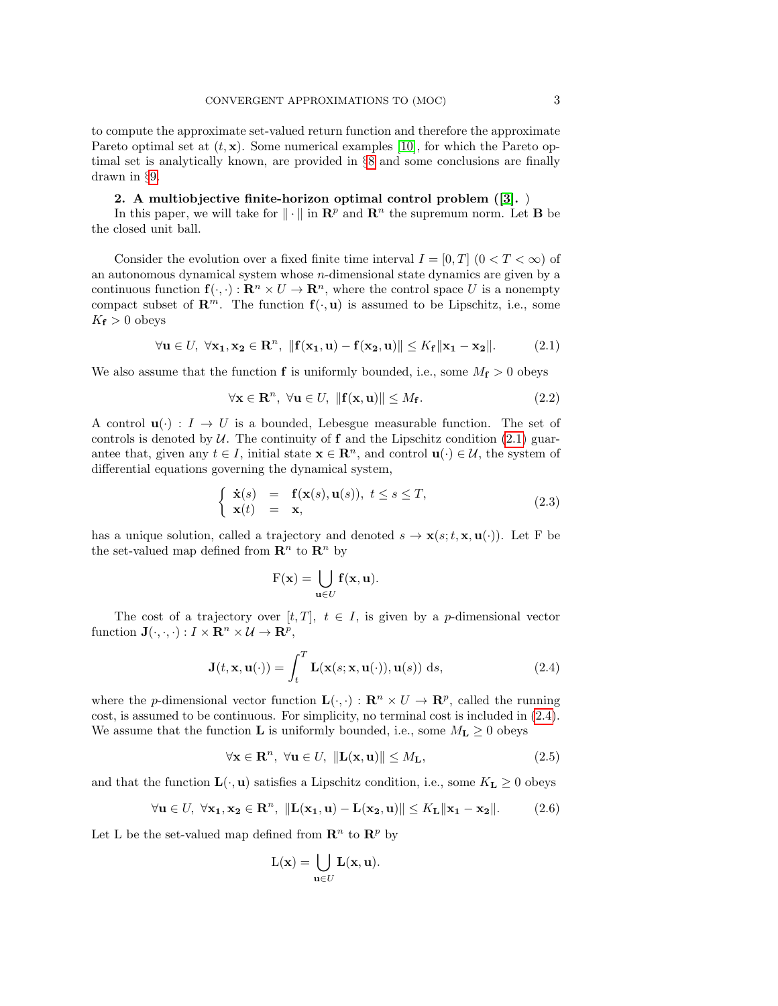to compute the approximate set-valued return function and therefore the approximate Pareto optimal set at  $(t, \mathbf{x})$ . Some numerical examples [\[10\]](#page-23-7), for which the Pareto optimal set is analytically known, are provided in §[8](#page-17-0) and some conclusions are finally drawn in §[9.](#page-23-8)

### 2. A multiobjective finite-horizon optimal control problem ([\[3\]](#page-23-9). )

<span id="page-2-0"></span>In this paper, we will take for  $\|\cdot\|$  in  $\mathbb{R}^p$  and  $\mathbb{R}^n$  the supremum norm. Let **B** be the closed unit ball.

Consider the evolution over a fixed finite time interval  $I = [0, T]$   $(0 < T < \infty)$  of an autonomous dynamical system whose n-dimensional state dynamics are given by a continuous function  $f(\cdot, \cdot): \mathbf{R}^n \times U \to \mathbf{R}^n$ , where the control space U is a nonempty compact subset of  $\mathbb{R}^m$ . The function  $f(\cdot, u)$  is assumed to be Lipschitz, i.e., some  $K_{\mathbf{f}} > 0$  obeys

<span id="page-2-1"></span>
$$
\forall \mathbf{u} \in U, \ \forall \mathbf{x_1}, \mathbf{x_2} \in \mathbf{R}^n, \ \| \mathbf{f}(\mathbf{x_1}, \mathbf{u}) - \mathbf{f}(\mathbf{x_2}, \mathbf{u}) \| \le K_f \| \mathbf{x_1} - \mathbf{x_2} \|.
$$
 (2.1)

We also assume that the function **f** is uniformly bounded, i.e., some  $M_f > 0$  obeys

$$
\forall \mathbf{x} \in \mathbf{R}^n, \ \forall \mathbf{u} \in U, \ \| \mathbf{f}(\mathbf{x}, \mathbf{u}) \| \le M_{\mathbf{f}}.\tag{2.2}
$$

A control  $\mathbf{u}(\cdot) : I \to U$  is a bounded, Lebesgue measurable function. The set of controls is denoted by  $U$ . The continuity of f and the Lipschitz condition [\(2.1\)](#page-2-1) guarantee that, given any  $t \in I$ , initial state  $\mathbf{x} \in \mathbb{R}^n$ , and control  $\mathbf{u}(\cdot) \in \mathcal{U}$ , the system of differential equations governing the dynamical system,

$$
\begin{cases} \dot{\mathbf{x}}(s) = \mathbf{f}(\mathbf{x}(s), \mathbf{u}(s)), \ t \le s \le T, \\ \mathbf{x}(t) = \mathbf{x}, \end{cases}
$$
\n(2.3)

has a unique solution, called a trajectory and denoted  $s \to \mathbf{x}(s;t,\mathbf{x},\mathbf{u}(\cdot))$ . Let F be the set-valued map defined from  $\mathbb{R}^n$  to  $\mathbb{R}^n$  by

<span id="page-2-2"></span>
$$
F(\mathbf{x}) = \bigcup_{\mathbf{u} \in U} \mathbf{f}(\mathbf{x}, \mathbf{u}).
$$

The cost of a trajectory over  $[t, T]$ ,  $t \in I$ , is given by a *p*-dimensional vector function  $\mathbf{J}(\cdot,\cdot,\cdot): I \times \mathbf{R}^n \times \mathcal{U} \to \mathbf{R}^p$ ,

$$
\mathbf{J}(t, \mathbf{x}, \mathbf{u}(\cdot)) = \int_{t}^{T} \mathbf{L}(\mathbf{x}(s; \mathbf{x}, \mathbf{u}(\cdot)), \mathbf{u}(s)) \, ds,
$$
 (2.4)

where the *p*-dimensional vector function  $\mathbf{L}(\cdot, \cdot) : \mathbf{R}^n \times U \to \mathbf{R}^p$ , called the running cost, is assumed to be continuous. For simplicity, no terminal cost is included in [\(2.4\)](#page-2-2). We assume that the function **L** is uniformly bounded, i.e., some  $M_{\mathbf{L}} \geq 0$  obeys

$$
\forall \mathbf{x} \in \mathbf{R}^n, \ \forall \mathbf{u} \in U, \ \| \mathbf{L}(\mathbf{x}, \mathbf{u}) \| \le M_\mathbf{L}, \tag{2.5}
$$

and that the function  $\mathbf{L}(\cdot, \mathbf{u})$  satisfies a Lipschitz condition, i.e., some  $K_{\mathbf{L}} \geq 0$  obeys

$$
\forall \mathbf{u} \in U, \ \forall \mathbf{x_1}, \mathbf{x_2} \in \mathbf{R}^n, \ \| \mathbf{L}(\mathbf{x_1}, \mathbf{u}) - \mathbf{L}(\mathbf{x_2}, \mathbf{u}) \| \le K_\mathbf{L} \|\mathbf{x_1} - \mathbf{x_2}\|. \tag{2.6}
$$

Let L be the set-valued map defined from  $\mathbb{R}^n$  to  $\mathbb{R}^p$  by

<span id="page-2-3"></span>
$$
L(\mathbf{x}) = \bigcup_{\mathbf{u} \in U} \mathbf{L}(\mathbf{x}, \mathbf{u}).
$$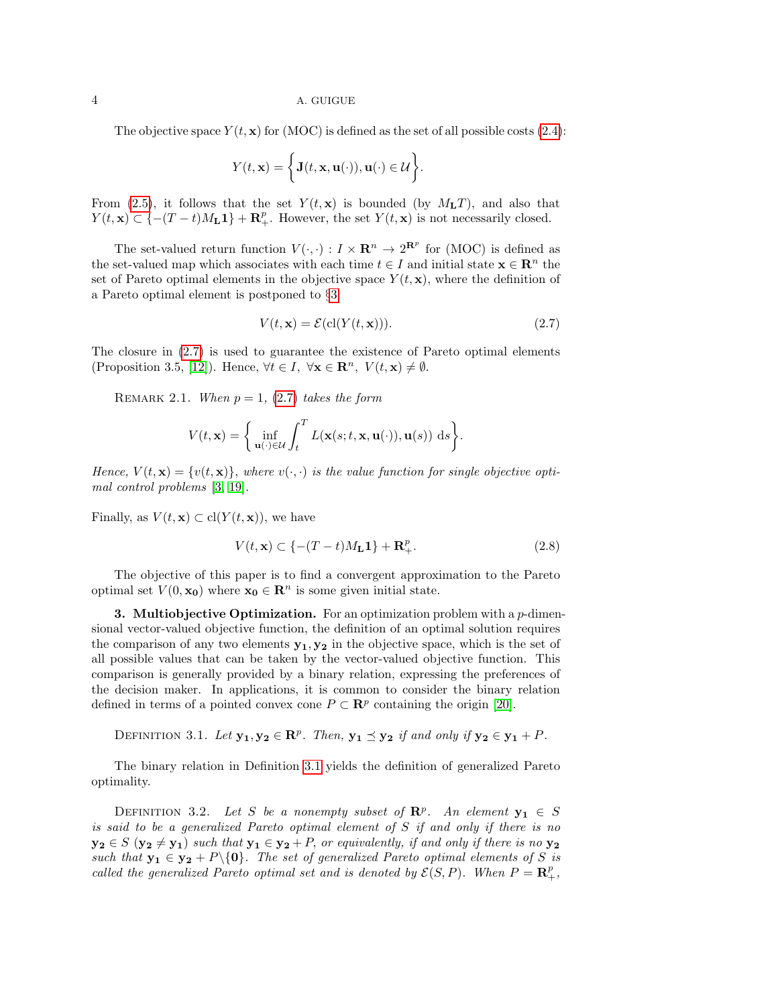The objective space  $Y(t, x)$  for (MOC) is defined as the set of all possible costs [\(2.4\)](#page-2-2):

$$
Y(t, \mathbf{x}) = \left\{ \mathbf{J}(t, \mathbf{x}, \mathbf{u}(\cdot)), \mathbf{u}(\cdot) \in \mathcal{U} \right\}.
$$

From (2.[5\)](#page-2-3), it follows that the set  $Y(t, x)$  is bounded (by  $M<sub>L</sub>T$ ), and also that  $Y(t, \mathbf{x}) \subset \{-(T-t)M_{\mathbf{L}}\mathbf{1}\} + \mathbf{R}_{+}^{p}$ . However, the set  $Y(t, \mathbf{x})$  is not necessarily closed.

The set-valued return function  $V(\cdot, \cdot) : I \times \mathbb{R}^n \to 2^{\mathbb{R}^p}$  for (MOC) is defined as the set-valued map which associates with each time  $t \in I$  and initial state  $\mathbf{x} \in \mathbb{R}^n$  the set of Pareto optimal elements in the objective space  $Y(t, \mathbf{x})$ , where the definition of a Pareto optimal element is postponed to §[3:](#page-3-0)

<span id="page-3-1"></span>
$$
V(t, \mathbf{x}) = \mathcal{E}(\text{cl}(Y(t, \mathbf{x}))).\tag{2.7}
$$

The closure in [\(2.7\)](#page-3-1) is used to guarantee the existence of Pareto optimal elements (Proposition 3.5, [\[12\]](#page-24-7)). Hence,  $\forall t \in I, \ \forall \mathbf{x} \in \mathbb{R}^n, \ V(t, \mathbf{x}) \neq \emptyset$ .

REMARK 2.1. When  $p = 1$ , [\(2.7\)](#page-3-1) takes the form

$$
V(t, \mathbf{x}) = \left\{ \inf_{\mathbf{u}(\cdot) \in \mathcal{U}} \int_t^T L(\mathbf{x}(s; t, \mathbf{x}, \mathbf{u}(\cdot)), \mathbf{u}(s)) \, ds \right\}.
$$

Hence,  $V(t, \mathbf{x}) = \{v(t, \mathbf{x})\}$ , where  $v(\cdot, \cdot)$  is the value function for single objective optimal control problems [\[3,](#page-23-9) [19\]](#page-24-8).

Finally, as  $V(t, \mathbf{x}) \subset \text{cl}(Y(t, \mathbf{x}))$ , we have

<span id="page-3-3"></span>
$$
V(t, \mathbf{x}) \subset \{-(T-t)M_{\mathbf{L}}\mathbf{1}\} + \mathbf{R}_{+}^{p}.
$$
\n(2.8)

The objective of this paper is to find a convergent approximation to the Pareto optimal set  $V(0, \mathbf{x_0})$  where  $\mathbf{x_0} \in \mathbb{R}^n$  is some given initial state.

<span id="page-3-0"></span>**3. Multiobjective Optimization.** For an optimization problem with a  $p$ -dimensional vector-valued objective function, the definition of an optimal solution requires the comparison of any two elements  $y_1, y_2$  in the objective space, which is the set of all possible values that can be taken by the vector-valued objective function. This comparison is generally provided by a binary relation, expressing the preferences of the decision maker. In applications, it is common to consider the binary relation defined in terms of a pointed convex cone  $P \subset \mathbb{R}^p$  containing the origin [\[20\]](#page-24-2).

<span id="page-3-2"></span>DEFINITION 3.1. Let  $y_1, y_2 \in \mathbb{R}^p$ . Then,  $y_1 \preceq y_2$  if and only if  $y_2 \in y_1 + P$ .

The binary relation in Definition [3.1](#page-3-2) yields the definition of generalized Pareto optimality.

DEFINITION 3.2. Let S be a nonempty subset of  $\mathbb{R}^p$ . An element  $y_1 \in S$ is said to be a generalized Pareto optimal element of S if and only if there is no  $y_2 \in S$   $(y_2 \neq y_1)$  such that  $y_1 \in y_2 + P$ , or equivalently, if and only if there is no  $y_2$ such that  $y_1 \in y_2 + P \setminus \{0\}$ . The set of generalized Pareto optimal elements of S is called the generalized Pareto optimal set and is denoted by  $\mathcal{E}(S, P)$ . When  $P = \mathbb{R}^p_+$ ,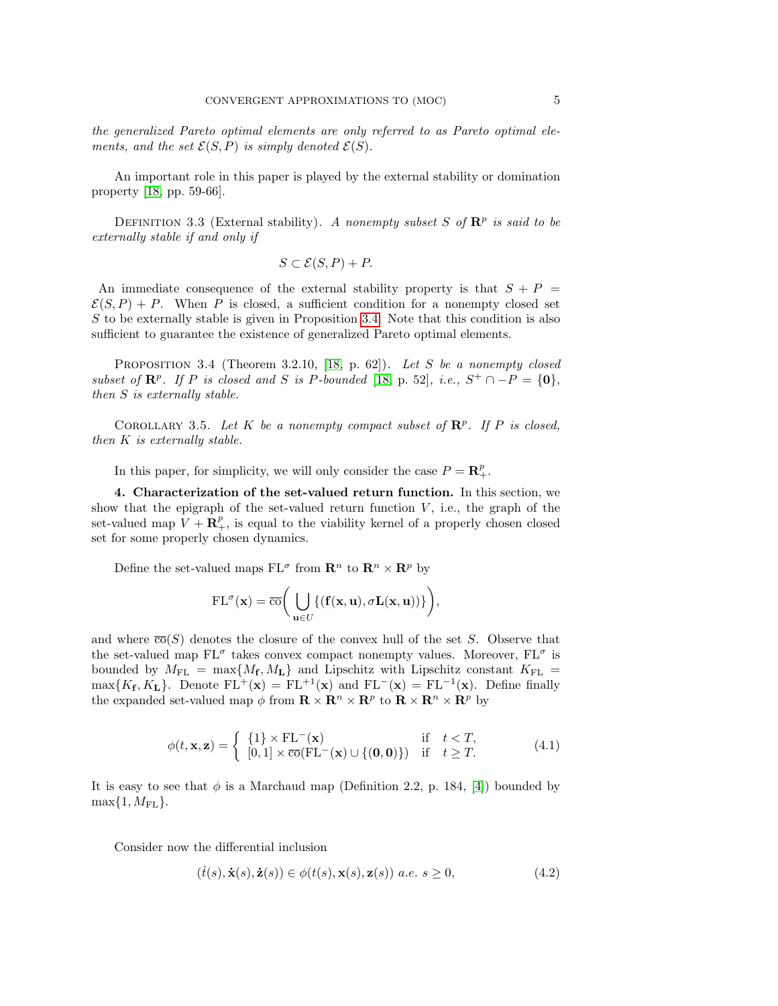the generalized Pareto optimal elements are only referred to as Pareto optimal elements, and the set  $\mathcal{E}(S, P)$  is simply denoted  $\mathcal{E}(S)$ .

An important role in this paper is played by the external stability or domination property [\[18,](#page-24-9) pp. 59-66].

DEFINITION 3.3 (External stability). A nonempty subset S of  $\mathbb{R}^p$  is said to be externally stable if and only if

$$
S \subset \mathcal{E}(S, P) + P.
$$

An immediate consequence of the external stability property is that  $S + P =$  $\mathcal{E}(S, P) + P$ . When P is closed, a sufficient condition for a nonempty closed set  $S$  to be externally stable is given in Proposition [3.4.](#page-4-1) Note that this condition is also sufficient to guarantee the existence of generalized Pareto optimal elements.

<span id="page-4-1"></span>PROPOSITION 3.4 (Theorem 3.2.10, [\[18,](#page-24-9) p. 62]). Let S be a nonempty closed subset of  $\mathbb{R}^p$ . If P is closed and S is P-bounded [\[18,](#page-24-9) p. 52], i.e.,  $S^+ \cap -P = \{0\}$ , then S is externally stable.

COROLLARY 3.5. Let K be a nonempty compact subset of  $\mathbb{R}^p$ . If P is closed, then K is externally stable.

In this paper, for simplicity, we will only consider the case  $P = \mathbb{R}^p_+$ .

<span id="page-4-0"></span>4. Characterization of the set-valued return function. In this section, we show that the epigraph of the set-valued return function  $V$ , i.e., the graph of the set-valued map  $V + \mathbf{R}^p_+$ , is equal to the viability kernel of a properly chosen closed set for some properly chosen dynamics.

Define the set-valued maps  $FL^{\sigma}$  from  $\mathbb{R}^n$  to  $\mathbb{R}^n \times \mathbb{R}^p$  by

$$
\mathrm{FL}^{\sigma}(\mathbf{x}) = \overline{\mathrm{co}}\bigg(\bigcup_{\mathbf{u}\in U} \{(\mathbf{f}(\mathbf{x}, \mathbf{u}), \sigma\mathbf{L}(\mathbf{x}, \mathbf{u}))\}\bigg),
$$

and where  $\overline{co}(S)$  denotes the closure of the convex hull of the set S. Observe that the set-valued map  $FL^{\sigma}$  takes convex compact nonempty values. Moreover,  $FL^{\sigma}$  is bounded by  $M_{\text{FL}} = \max\{M_{\text{f}}, M_{\text{L}}\}$  and Lipschitz with Lipschitz constant  $K_{\text{FL}} =$  $\max\{K_f, K_L\}$ . Denote  $FL^+(\mathbf{x}) = FL^{+1}(\mathbf{x})$  and  $FL^-(\mathbf{x}) = FL^{-1}(\mathbf{x})$ . Define finally the expanded set-valued map  $\phi$  from  $\mathbf{R} \times \mathbf{R}^n \times \mathbf{R}^p$  to  $\mathbf{R} \times \mathbf{R}^n \times \mathbf{R}^p$  by

$$
\phi(t, \mathbf{x}, \mathbf{z}) = \begin{cases} \{1\} \times \text{FL}^{-}(\mathbf{x}) & \text{if } t < T, \\ \left[0, 1\right] \times \overline{\text{co}}(\text{FL}^{-}(\mathbf{x}) \cup \{(\mathbf{0}, \mathbf{0})\}) & \text{if } t \geq T. \end{cases} \tag{4.1}
$$

It is easy to see that  $\phi$  is a Marchaud map (Definition 2.2, p. 184, [\[4\]](#page-23-0)) bounded by  $\max\{1, M_{\text{FL}}\}.$ 

Consider now the differential inclusion

<span id="page-4-2"></span>
$$
(\dot{t}(s), \dot{\mathbf{x}}(s), \dot{\mathbf{z}}(s)) \in \phi(t(s), \mathbf{x}(s), \mathbf{z}(s)) \ a.e. \ s \ge 0,
$$
\n
$$
(4.2)
$$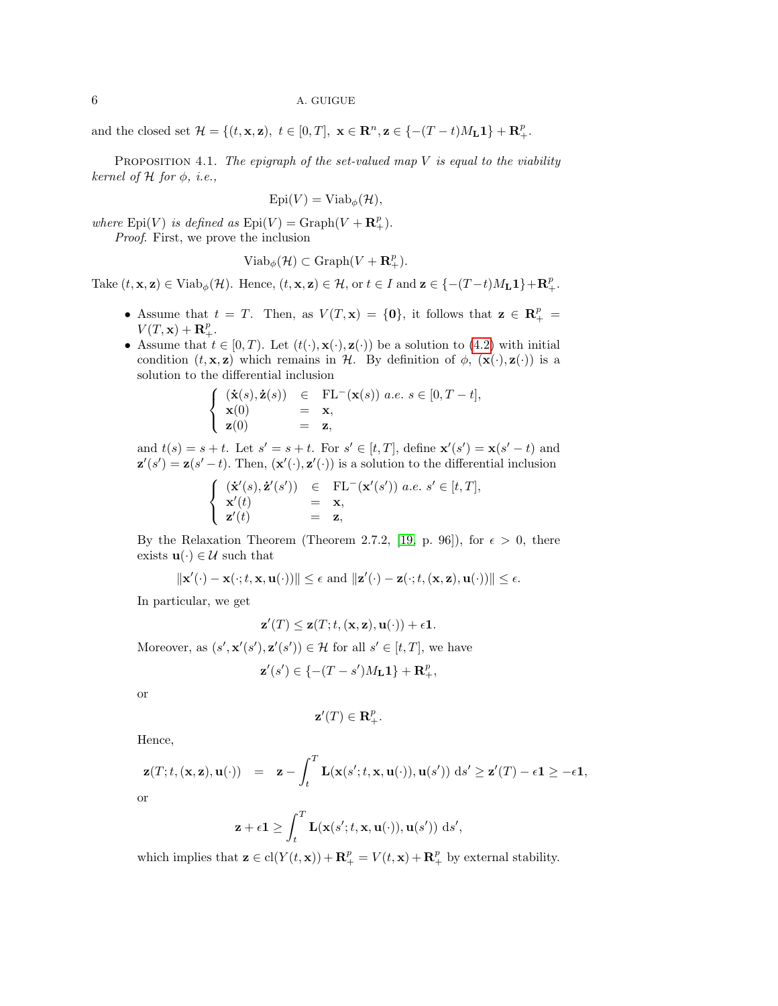and the closed set  $\mathcal{H} = \{(t, \mathbf{x}, \mathbf{z}), t \in [0, T], \mathbf{x} \in \mathbb{R}^n, \mathbf{z} \in \{-(T-t)M_{\mathbf{L}}\mathbf{1}\} + \mathbf{R}_{+}^p$ .

<span id="page-5-1"></span>PROPOSITION 4.1. The epigraph of the set-valued map  $V$  is equal to the viability kernel of  $H$  for  $\phi$ , *i.e.*,

$$
Epi(V) = Viab_{\phi}(\mathcal{H}),
$$

where  $Epi(V)$  is defined as  $Epi(V) = Graph(V + \mathbf{R}^p_+)$ .

Proof. First, we prove the inclusion

$$
Viab_{\phi}(\mathcal{H}) \subset \mathrm{Graph}(V + \mathbf{R}_{+}^{p}).
$$

Take  $(t, \mathbf{x}, \mathbf{z}) \in \text{Viab}_{\phi}(\mathcal{H})$ . Hence,  $(t, \mathbf{x}, \mathbf{z}) \in \mathcal{H}$ , or  $t \in I$  and  $\mathbf{z} \in \{- (T - t)M_{L}\mathbf{1}\} + \mathbf{R}_{+}^{p}$ .

- Assume that  $t = T$ . Then, as  $V(T, \mathbf{x}) = \{\mathbf{0}\}\$ , it follows that  $\mathbf{z} \in \mathbb{R}^p_+$  $V(T, \mathbf{x}) + \mathbf{R}_{+}^{p}$ .
- Assume that  $t \in [0, T)$ . Let  $(t(\cdot), \mathbf{x}(\cdot), \mathbf{z}(\cdot))$  be a solution to [\(4.2\)](#page-4-2) with initial condition  $(t, \mathbf{x}, \mathbf{z})$  which remains in H. By definition of  $\phi$ ,  $(\mathbf{x}(\cdot), \mathbf{z}(\cdot))$  is a solution to the differential inclusion

<span id="page-5-0"></span>
$$
\begin{cases}\n(\dot{\mathbf{x}}(s), \dot{\mathbf{z}}(s)) & \in \text{FL}^-(\mathbf{x}(s)) \ a.e. \ s \in [0, T - t], \\
\mathbf{x}(0) & = \mathbf{x}, \\
\mathbf{z}(0) & = \mathbf{z},\n\end{cases}
$$

and  $t(s) = s + t$ . Let  $s' = s + t$ . For  $s' \in [t, T]$ , define  $\mathbf{x}'(s') = \mathbf{x}(s' - t)$  and  $\mathbf{z}'(s') = \mathbf{z}(s'-t)$ . Then,  $(\mathbf{x}'(\cdot), \mathbf{z}'(\cdot))$  is a solution to the differential inclusion

$$
\left\{\begin{array}{lcl} (\dot{\mathbf{x}}'(s),\dot{\mathbf{z}}'(s'))&\in&\mathrm{FL^-}(\mathbf{x}'(s'))\ a.e.\ s'\in[t,T],\\ \mathbf{x}'(t)&=&\mathbf{x},\\ \mathbf{z}'(t)&=&\mathbf{z}, \end{array}\right.
$$

By the Relaxation Theorem (Theorem 2.7.2, [\[19,](#page-24-8) p. 96]), for  $\epsilon > 0$ , there exists  $\mathbf{u}(\cdot) \in \mathcal{U}$  such that

$$
\|\mathbf{x}'(\cdot)-\mathbf{x}(\cdot;t,\mathbf{x},\mathbf{u}(\cdot))\| \leq \epsilon \text{ and } \|\mathbf{z}'(\cdot)-\mathbf{z}(\cdot;t,(\mathbf{x},\mathbf{z}),\mathbf{u}(\cdot))\| \leq \epsilon.
$$

In particular, we get

$$
\mathbf{z}'(T) \leq \mathbf{z}(T; t, (\mathbf{x}, \mathbf{z}), \mathbf{u}(\cdot)) + \epsilon \mathbf{1}.
$$

Moreover, as  $(s', \mathbf{x}'(s'), \mathbf{z}'(s')) \in \mathcal{H}$  for all  $s' \in [t, T]$ , we have

$$
\mathbf{z}'(s') \in \{-(T-s')M_{\mathbf{L}}\mathbf{1}\} + \mathbf{R}_{+}^{p},
$$

or

$$
\mathbf{z}'(T)\in\mathbf{R}_{+}^{p}.
$$

Hence,

$$
\mathbf{z}(T;t,(\mathbf{x},\mathbf{z}),\mathbf{u}(\cdot)) = \mathbf{z} - \int_t^T \mathbf{L}(\mathbf{x}(s';t,\mathbf{x},\mathbf{u}(\cdot)),\mathbf{u}(s')) \,ds' \geq \mathbf{z}'(T) - \epsilon \mathbf{1} \geq -\epsilon \mathbf{1},
$$
or

$$
\mathbf{z} + \epsilon \mathbf{1} \ge \int_t^T \mathbf{L}(\mathbf{x}(s'; t, \mathbf{x}, \mathbf{u}(\cdot)), \mathbf{u}(s')) \, ds',
$$

which implies that  $\mathbf{z} \in \text{cl}(Y(t, \mathbf{x})) + \mathbf{R}^p_+ = V(t, \mathbf{x}) + \mathbf{R}^p_+$  by external stability.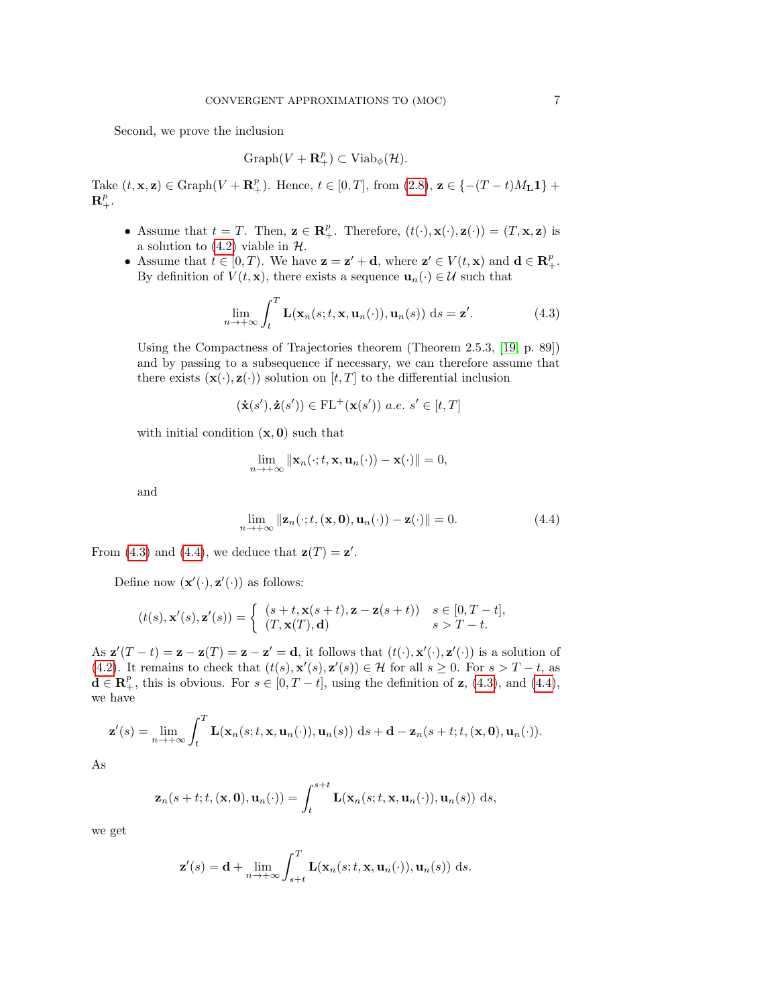Second, we prove the inclusion

$$
Graph(V + \mathbf{R}^p_+) \subset Viab_{\phi}(\mathcal{H}).
$$

Take  $(t, \mathbf{x}, \mathbf{z}) \in \text{Graph}(V + \mathbf{R}_{+}^{p})$ . Hence,  $t \in [0, T]$ , from  $(2.8)$ ,  $\mathbf{z} \in \{-(T-t)M_{\mathbf{L}}\mathbf{1}\}$  +  $\mathbf{R}^p_+.$ 

- Assume that  $t = T$ . Then,  $\mathbf{z} \in \mathbb{R}_+^p$ . Therefore,  $(t(\cdot), \mathbf{x}(\cdot), \mathbf{z}(\cdot)) = (T, \mathbf{x}, \mathbf{z})$  is a solution to  $(4.2)$  viable in  $H$ .
- Assume that  $t \in [0, T)$ . We have  $\mathbf{z} = \mathbf{z}' + \mathbf{d}$ , where  $\mathbf{z}' \in V(t, \mathbf{x})$  and  $\mathbf{d} \in \mathbb{R}_{+}^{p}$ . By definition of  $V(t, \mathbf{x})$ , there exists a sequence  $\mathbf{u}_n(\cdot) \in \mathcal{U}$  such that

$$
\lim_{n \to +\infty} \int_{t}^{T} \mathbf{L}(\mathbf{x}_{n}(s; t, \mathbf{x}, \mathbf{u}_{n}(\cdot)), \mathbf{u}_{n}(s)) ds = \mathbf{z}'.
$$
 (4.3)

Using the Compactness of Trajectories theorem (Theorem 2.5.3, [\[19,](#page-24-8) p. 89]) and by passing to a subsequence if necessary, we can therefore assume that there exists  $(\mathbf{x}(\cdot), \mathbf{z}(\cdot))$  solution on  $[t, T]$  to the differential inclusion

$$
(\dot{\mathbf{x}}(s'),\dot{\mathbf{z}}(s'))\in\mathrm{FL^+}(\mathbf{x}(s'))\ a.e.\ s'\in[t,T]
$$

with initial condition  $(x, 0)$  such that

$$
\lim_{n\to+\infty}\|\mathbf{x}_n(\cdot;t,\mathbf{x},\mathbf{u}_n(\cdot))-\mathbf{x}(\cdot)\|=0,
$$

<span id="page-6-0"></span>and

$$
\lim_{n \to +\infty} \|\mathbf{z}_n(\cdot; t, (\mathbf{x}, \mathbf{0}), \mathbf{u}_n(\cdot)) - \mathbf{z}(\cdot)\| = 0.
$$
\n(4.4)

From [\(4.3\)](#page-5-0) and [\(4.4\)](#page-6-0), we deduce that  $\mathbf{z}(T) = \mathbf{z}'$ .

Define now  $(\mathbf{x}'(\cdot), \mathbf{z}'(\cdot))$  as follows:

$$
(t(s), \mathbf{x}'(s), \mathbf{z}'(s)) = \begin{cases} (s+t, \mathbf{x}(s+t), \mathbf{z} - \mathbf{z}(s+t)) & s \in [0, T-t], \\ (T, \mathbf{x}(T), \mathbf{d}) & s > T-t. \end{cases}
$$

As  $\mathbf{z}'(T-t) = \mathbf{z} - \mathbf{z}(T) = \mathbf{z} - \mathbf{z}' = \mathbf{d}$ , it follows that  $(t(\cdot), \mathbf{x}'(\cdot), \mathbf{z}'(\cdot))$  is a solution of [\(4.2\)](#page-4-2). It remains to check that  $(t(s), \mathbf{x}'(s), \mathbf{z}'(s)) \in \mathcal{H}$  for all  $s \geq 0$ . For  $s > T - t$ , as  $\mathbf{d} \in \mathbf{R}_+^p$ , this is obvious. For  $s \in [0, T - t]$ , using the definition of **z**, [\(4.3\)](#page-5-0), and [\(4.4\)](#page-6-0), we have

$$
\mathbf{z}'(s) = \lim_{n \to +\infty} \int_t^T \mathbf{L}(\mathbf{x}_n(s;t,\mathbf{x},\mathbf{u}_n(\cdot)),\mathbf{u}_n(s)) \, ds + \mathbf{d} - \mathbf{z}_n(s+t;t,(\mathbf{x},\mathbf{0}),\mathbf{u}_n(\cdot)).
$$

As

$$
\mathbf{z}_n(s+t;t,(\mathbf{x},\mathbf{0}),\mathbf{u}_n(\cdot))=\int_t^{s+t}\mathbf{L}(\mathbf{x}_n(s;t,\mathbf{x},\mathbf{u}_n(\cdot)),\mathbf{u}_n(s))\;ds,
$$

we get

$$
\mathbf{z}'(s) = \mathbf{d} + \lim_{n \to +\infty} \int_{s+t}^{T} \mathbf{L}(\mathbf{x}_n(s; t, \mathbf{x}, \mathbf{u}_n(\cdot)), \mathbf{u}_n(s)) \, ds.
$$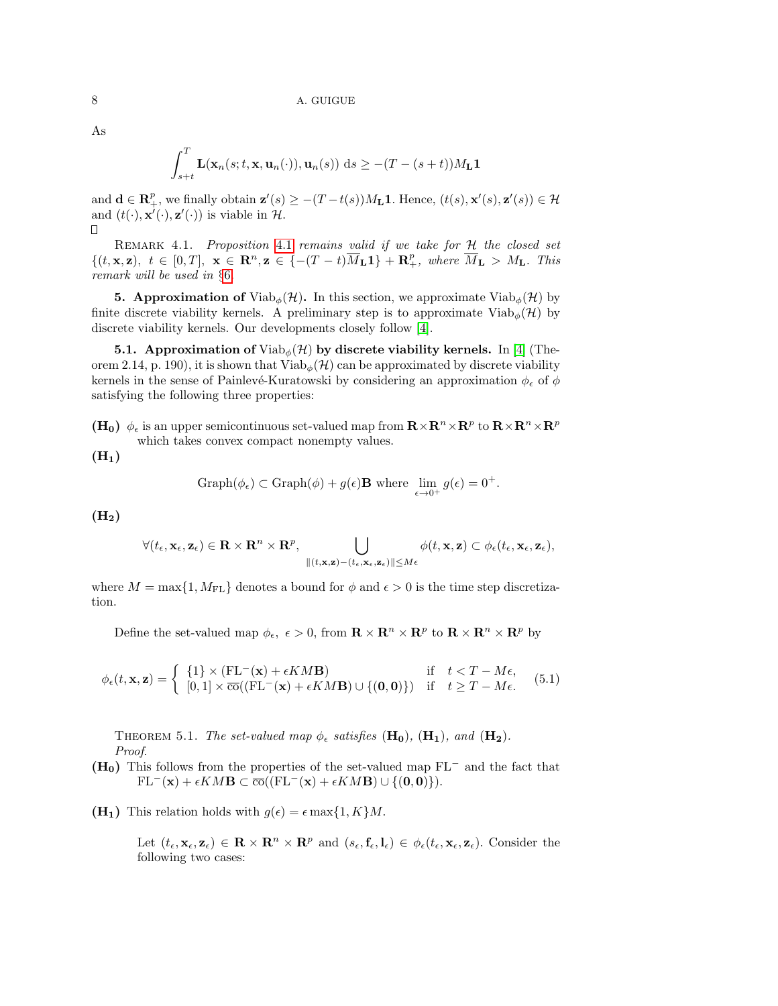$$
\int_{s+t}^{T} \mathbf{L}(\mathbf{x}_n(s;t,\mathbf{x},\mathbf{u}_n(\cdot)),\mathbf{u}_n(s)) \, ds \geq -(T-(s+t))M_{\mathbf{L}}\mathbf{1}
$$

and  $\mathbf{d} \in \mathbb{R}_+^p$ , we finally obtain  $\mathbf{z}'(s) \geq -(T-t(s))M_\mathbf{L} \mathbf{1}$ . Hence,  $(t(s), \mathbf{x}'(s), \mathbf{z}'(s)) \in \mathcal{H}$ and  $(t(\cdot), \mathbf{x}'(\cdot), \mathbf{z}'(\cdot))$  is viable in H. П

<span id="page-7-1"></span>REMARK [4.1](#page-5-1). Proposition 4.1 remains valid if we take for H the closed set  $\{(t, \mathbf{x}, \mathbf{z}), t \in [0,T], \mathbf{x} \in \mathbb{R}^n, \mathbf{z} \in \{-(T-t)\overline{M}_{\mathbf{L}}\mathbf{1}\} + \mathbf{R}^p_+, where \overline{M}_{\mathbf{L}} > M_{\mathbf{L}}. This$ remark will be used in §[6](#page-10-0).

<span id="page-7-0"></span>**5. Approximation of** Viab<sub> $\phi$ </sub> $(\mathcal{H})$ . In this section, we approximate Viab<sub> $\phi$ </sub> $(\mathcal{H})$  by finite discrete viability kernels. A preliminary step is to approximate  $Viab_{\phi}(\mathcal{H})$  by discrete viability kernels. Our developments closely follow [\[4\]](#page-23-0).

5.1. Approximation of  $\mathrm{Viab}_{\phi}(\mathcal{H})$  by discrete viability kernels. In [\[4\]](#page-23-0) (Theorem 2.14, p. 190), it is shown that Viab<sub> $\phi(\mathcal{H})$ </sub> can be approximated by discrete viability kernels in the sense of Painlevé-Kuratowski by considering an approximation  $\phi_{\epsilon}$  of  $\phi$ satisfying the following three properties:

(H<sub>0</sub>)  $\phi_{\epsilon}$  is an upper semicontinuous set-valued map from  $\mathbf{R} \times \mathbf{R}^n \times \mathbf{R}^p$  to  $\mathbf{R} \times \mathbf{R}^n \times \mathbf{R}^p$ which takes convex compact nonempty values.

 $(H<sub>1</sub>)$ 

Graph
$$
(\phi_{\epsilon}) \subset \text{Graph}(\phi) + g(\epsilon) \mathbf{B}
$$
 where  $\lim_{\epsilon \to 0^+} g(\epsilon) = 0^+$ .

 $(H<sub>2</sub>)$ 

$$
\forall (t_{\epsilon}, \mathbf{x}_{\epsilon}, \mathbf{z}_{\epsilon}) \in \mathbf{R} \times \mathbf{R}^{n} \times \mathbf{R}^{p}, \bigcup_{\| (t, \mathbf{x}, \mathbf{z}) - (t_{\epsilon}, \mathbf{x}_{\epsilon}, \mathbf{z}_{\epsilon}) \| \le M \epsilon} \phi(t, \mathbf{x}, \mathbf{z}) \subset \phi_{\epsilon}(t_{\epsilon}, \mathbf{x}_{\epsilon}, \mathbf{z}_{\epsilon}),
$$

where  $M = \max\{1, M_{\text{FL}}\}$  denotes a bound for  $\phi$  and  $\epsilon > 0$  is the time step discretization.

Define the set-valued map  $\phi_{\epsilon}$ ,  $\epsilon > 0$ , from  $\mathbf{R} \times \mathbf{R}^n \times \mathbf{R}^p$  to  $\mathbf{R} \times \mathbf{R}^n \times \mathbf{R}^p$  by

$$
\phi_{\epsilon}(t, \mathbf{x}, \mathbf{z}) = \begin{cases} \{1\} \times (\mathrm{FL}^{-}(\mathbf{x}) + \epsilon KM \mathbf{B}) & \text{if } t < T - M\epsilon, \\ [0, 1] \times \overline{\mathrm{co}}((\mathrm{FL}^{-}(\mathbf{x}) + \epsilon KM \mathbf{B}) \cup \{(0, 0)\}) & \text{if } t \ge T - M\epsilon. \end{cases} (5.1)
$$

THEOREM 5.1. The set-valued map  $\phi_{\epsilon}$  satisfies  $(\mathbf{H_0})$ ,  $(\mathbf{H_1})$ , and  $(\mathbf{H_2})$ . Proof.

- $(H<sub>0</sub>)$  This follows from the properties of the set-valued map FL<sup>−</sup> and the fact that  $FL^{-}(\mathbf{x}) + \epsilon KM \mathbf{B} \subset \overline{\text{co}}((FL^{-}(\mathbf{x}) + \epsilon KM \mathbf{B}) \cup \{(0,0)\}).$
- $(H_1)$  This relation holds with  $g(\epsilon) = \epsilon \max\{1, K\}M$ .

Let  $(t_{\epsilon}, \mathbf{x}_{\epsilon}, \mathbf{z}_{\epsilon}) \in \mathbf{R} \times \mathbf{R}^{n} \times \mathbf{R}^{p}$  and  $(s_{\epsilon}, \mathbf{f}_{\epsilon}, \mathbf{l}_{\epsilon}) \in \phi_{\epsilon}(t_{\epsilon}, \mathbf{x}_{\epsilon}, \mathbf{z}_{\epsilon})$ . Consider the following two cases:

As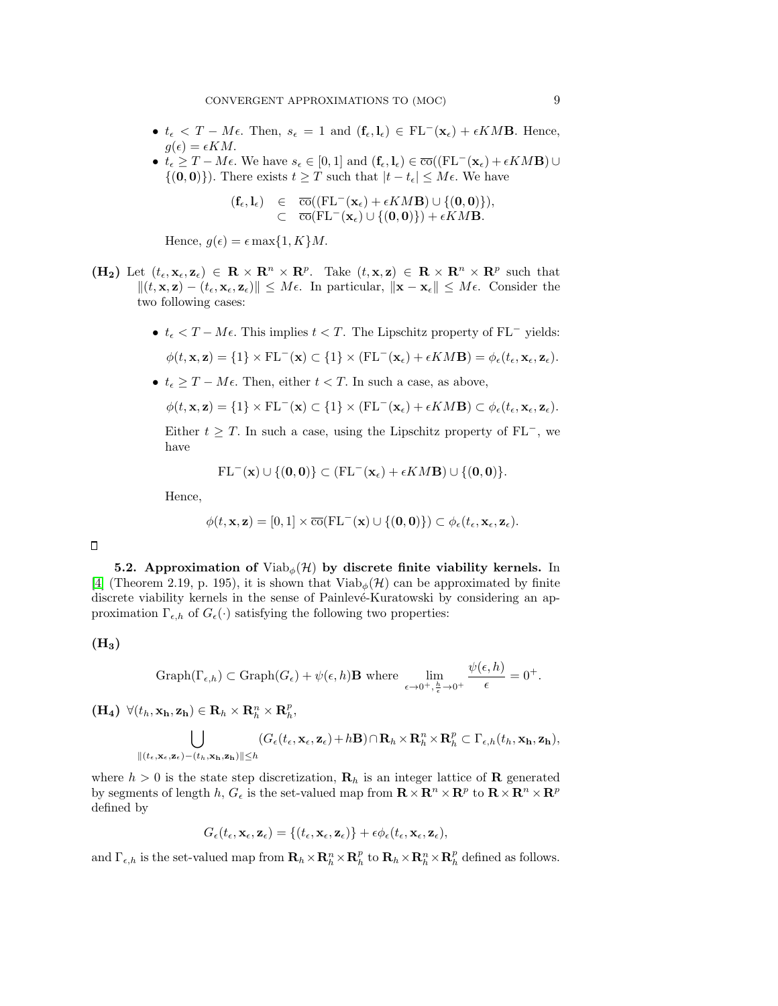- $t_{\epsilon} < T M\epsilon$ . Then,  $s_{\epsilon} = 1$  and  $(\mathbf{f}_{\epsilon}, \mathbf{l}_{\epsilon}) \in FL^{-}(\mathbf{x}_{\epsilon}) + \epsilon KM \mathbf{B}$ . Hence,  $g(\epsilon) = \epsilon KM$ .
- $t_{\epsilon} \geq T M\epsilon$ . We have  $s_{\epsilon} \in [0,1]$  and  $(\mathbf{f}_{\epsilon}, \mathbf{l}_{\epsilon}) \in \overline{\text{co}}((\mathrm{FL}^{-}(\mathbf{x}_{\epsilon}) + \epsilon KM \mathbf{B}) \cup$  $\{(0,0)\}\)$ . There exists  $t \geq T$  such that  $|t - t_{\epsilon}| \leq M\epsilon$ . We have

<span id="page-8-0"></span>
$$
\begin{array}{rcl} (\mathbf{f}_{\epsilon}, \mathbf{l}_{\epsilon}) & \in & \overline{\mathrm{co}}((\mathrm{FL^-}(\mathbf{x}_{\epsilon})+\epsilon KM \mathbf{B}) \cup \{(\mathbf{0}, \mathbf{0})\}), \\ & \subset & \overline{\mathrm{co}}(\mathrm{FL^-}(\mathbf{x}_{\epsilon}) \cup \{(\mathbf{0}, \mathbf{0})\})+\epsilon KM \mathbf{B}. \end{array}
$$

Hence,  $g(\epsilon) = \epsilon \max\{1, K\}M$ .

- $(H_2)$  Let  $(t_\epsilon, \mathbf{x}_\epsilon, \mathbf{z}_\epsilon) \in \mathbb{R} \times \mathbb{R}^n \times \mathbb{R}^p$ . Take  $(t, \mathbf{x}, \mathbf{z}) \in \mathbb{R} \times \mathbb{R}^n \times \mathbb{R}^p$  such that  $||(t, \mathbf{x}, \mathbf{z}) - (t_{\epsilon}, \mathbf{x}_{\epsilon}, \mathbf{z}_{\epsilon})|| \leq M \epsilon$ . In particular,  $||\mathbf{x} - \mathbf{x}_{\epsilon}|| \leq M \epsilon$ . Consider the two following cases:
	- $t_{\epsilon}$  < T M $\epsilon$ . This implies  $t$  < T. The Lipschitz property of FL<sup>-</sup> yields:

$$
\phi(t, \mathbf{x}, \mathbf{z}) = \{1\} \times FL^{-}(\mathbf{x}) \subset \{1\} \times (FL^{-}(\mathbf{x}_{\epsilon}) + \epsilon KM \mathbf{B}) = \phi_{\epsilon}(t_{\epsilon}, \mathbf{x}_{\epsilon}, \mathbf{z}_{\epsilon}).
$$

•  $t_{\epsilon} \geq T - M\epsilon$ . Then, either  $t < T$ . In such a case, as above,

$$
\phi(t, \mathbf{x}, \mathbf{z}) = \{1\} \times \mathrm{FL}^{-}(\mathbf{x}) \subset \{1\} \times (\mathrm{FL}^{-}(\mathbf{x}_{\epsilon}) + \epsilon KM \mathbf{B}) \subset \phi_{\epsilon}(t_{\epsilon}, \mathbf{x}_{\epsilon}, \mathbf{z}_{\epsilon}).
$$

Either  $t \geq T$ . In such a case, using the Lipschitz property of FL<sup>-</sup>, we have

$$
\mathrm{FL^-}(\mathbf{x}) \cup \{(\mathbf{0},\mathbf{0})\} \subset (\mathrm{FL^-}(\mathbf{x}_\epsilon) + \epsilon KM \mathbf{B}) \cup \{(\mathbf{0},\mathbf{0})\}.
$$

Hence,

$$
\phi(t, \mathbf{x}, \mathbf{z}) = [0, 1] \times \overline{\mathrm{co}}(\mathrm{FL^-}(\mathbf{x}) \cup \{(\mathbf{0}, \mathbf{0})\}) \subset \phi_{\epsilon}(t_{\epsilon}, \mathbf{x}_{\epsilon}, \mathbf{z}_{\epsilon}).
$$

5.2. Approximation of  $Viab_{\phi}(\mathcal{H})$  by discrete finite viability kernels. In [\[4\]](#page-23-0) (Theorem 2.19, p. 195), it is shown that  $Viab_{\phi}(\mathcal{H})$  can be approximated by finite discrete viability kernels in the sense of Painlevé-Kuratowski by considering an approximation  $\Gamma_{\epsilon,h}$  of  $G_{\epsilon}(\cdot)$  satisfying the following two properties:

 $(H_3)$ 

Graph
$$
(\Gamma_{\epsilon,h}) \subset \text{Graph}(G_{\epsilon}) + \psi(\epsilon,h) \mathbf{B}
$$
 where  $\lim_{\epsilon \to 0^+, \frac{h}{\epsilon} \to 0^+} \frac{\psi(\epsilon,h)}{\epsilon} = 0^+.$ 

 $(\mathbf{H}_4) \ \ \forall (t_h, \mathbf{x_h}, \mathbf{z_h}) \in \mathbf{R}_h \times \mathbf{R}_h^n \times \mathbf{R}_h^p,$ 

$$
\bigcup_{\|(t_{\epsilon},\mathbf{x}_{\epsilon},\mathbf{z}_{\epsilon})-(t_{h},\mathbf{x_{h}},\mathbf{z_{h}})\|\leq h} (G_{\epsilon}(t_{\epsilon},\mathbf{x}_{\epsilon},\mathbf{z}_{\epsilon})+h\mathbf{B})\cap \mathbf{R}_{h}\times\mathbf{R}_{h}^{n}\times\mathbf{R}_{h}^{p}\subset\Gamma_{\epsilon,h}(t_{h},\mathbf{x_{h}},\mathbf{z_{h}}),
$$

where  $h > 0$  is the state step discretization,  $\mathbf{R}_h$  is an integer lattice of **R** generated by segments of length h,  $G_{\epsilon}$  is the set-valued map from  $\mathbf{R} \times \mathbf{R}^n \times \mathbf{R}^p$  to  $\mathbf{R} \times \mathbf{R}^n \times \mathbf{R}^p$ defined by

$$
G_{\epsilon}(t_{\epsilon}, \mathbf{x}_{\epsilon}, \mathbf{z}_{\epsilon}) = \{ (t_{\epsilon}, \mathbf{x}_{\epsilon}, \mathbf{z}_{\epsilon}) \} + \epsilon \phi_{\epsilon}(t_{\epsilon}, \mathbf{x}_{\epsilon}, \mathbf{z}_{\epsilon}),
$$

and  $\Gamma_{\epsilon,h}$  is the set-valued map from  $\mathbf{R}_h \times \mathbf{R}_h^n \times \mathbf{R}_h^p$  to  $\mathbf{R}_h \times \mathbf{R}_h^n \times \mathbf{R}_h^p$  defined as follows.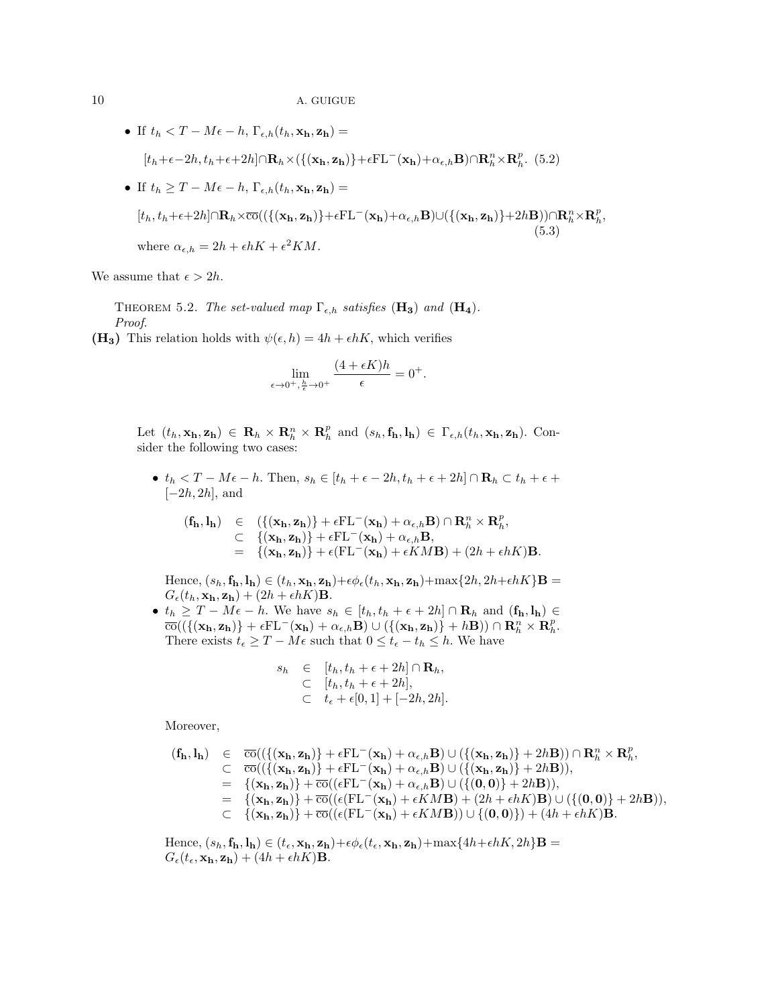\n- \n If 
$$
t_h < T - M\epsilon - h
$$
,  $\Gamma_{\epsilon,h}(t_h, \mathbf{x_h}, \mathbf{z_h}) =$ \n $[t_h + \epsilon - 2h, t_h + \epsilon + 2h] \cap \mathbf{R}_h \times (\{(\mathbf{x_h}, \mathbf{z_h})\} + \epsilon \mathbf{F} \mathbf{L}^-(\mathbf{x_h}) + \alpha_{\epsilon,h} \mathbf{B}) \cap \mathbf{R}_h^n \times \mathbf{R}_h^p.$ \n
\n- \n If  $t_h \geq T - M\epsilon - h$ ,  $\Gamma_{\epsilon,h}(t_h, \mathbf{x_h}, \mathbf{z_h}) =$ \n $[t_h, t_h + \epsilon + 2h] \cap \mathbf{R}_h \times \overline{\text{co}}((\{(\mathbf{x_h}, \mathbf{z_h})\} + \epsilon \mathbf{F} \mathbf{L}^-(\mathbf{x_h}) + \alpha_{\epsilon,h} \mathbf{B}) \cup (\{(\mathbf{x_h}, \mathbf{z_h})\} + 2h \mathbf{B})) \cap \mathbf{R}_h^n \times \mathbf{R}_h^p,$ \n
\n- \n where  $\alpha_{\epsilon,h} = 2h + \epsilon hK + \epsilon^2 K M.$ \n
\n

We assume that  $\epsilon > 2h$ .

THEOREM 5.2. The set-valued map  $\Gamma_{\epsilon,h}$  satisfies  $(\mathbf{H_3})$  and  $(\mathbf{H_4})$ . Proof.

(H<sub>3</sub>) This relation holds with  $\psi(\epsilon, h) = 4h + \epsilon hK$ , which verifies

<span id="page-9-0"></span>
$$
\lim_{\epsilon \to 0^+, \frac{h}{\epsilon} \to 0^+} \frac{(4 + \epsilon K)h}{\epsilon} = 0^+.
$$

Let  $(t_h, \mathbf{x_h}, \mathbf{z_h}) \in \mathbf{R}_h \times \mathbf{R}_h^n \times \mathbf{R}_h^p$  and  $(s_h, \mathbf{f_h}, \mathbf{l_h}) \in \Gamma_{\epsilon,h}(t_h, \mathbf{x_h}, \mathbf{z_h})$ . Consider the following two cases:

•  $t_h < T - M\epsilon - h$ . Then,  $s_h \in [t_h + \epsilon - 2h, t_h + \epsilon + 2h] \cap \mathbf{R}_h \subset t_h + \epsilon +$  $[-2h, 2h]$ , and

$$
\begin{array}{rcl} (\mathbf{f_h}, \mathbf{l_h}) & \in & \left( \{ (\mathbf{x_h}, \mathbf{z_h}) \} + \epsilon \mathrm{FL^-}(\mathbf{x_h}) + \alpha_{\epsilon,h} \mathbf{B} \right) \cap \mathbf{R}_h^n \times \mathbf{R}_h^p, \\ & \subset & \left\{ (\mathbf{x_h}, \mathbf{z_h}) \right\} + \epsilon \mathrm{FL^-}(\mathbf{x_h}) + \alpha_{\epsilon,h} \mathbf{B}, \\ & = & \left\{ (\mathbf{x_h}, \mathbf{z_h}) \right\} + \epsilon (\mathrm{FL^-}(\mathbf{x_h}) + \epsilon KM \mathbf{B}) + (2h + \epsilon hK) \mathbf{B}. \end{array}
$$

Hence,  $(s_h, \mathbf{f_h}, \mathbf{l_h}) \in (t_h, \mathbf{x_h}, \mathbf{z_h}) + \epsilon \phi_{\epsilon}(t_h, \mathbf{x_h}, \mathbf{z_h}) + \max\{2h, 2h + \epsilon hK\}\mathbf{B} =$  $G_{\epsilon}(t_h, \mathbf{x_h}, \mathbf{z_h}) + (2h + \epsilon hK)\mathbf{B}.$ 

•  $t_h \geq T - M\epsilon - h$ . We have  $s_h \in [t_h, t_h + \epsilon + 2h] \cap \mathbf{R}_h$  and  $(\mathbf{f_h}, \mathbf{l_h}) \in$  $\overline{\mathrm{co}}((\{(\mathbf{x_h}, \mathbf{z_h})\} + \epsilon \mathrm{FL^-}(\mathbf{x_h}) + \alpha_{\epsilon,h} \mathbf{B}) \cup (\{(\mathbf{x_h}, \mathbf{z_h})\} + h \mathbf{B})) \cap \mathbf{R}_h^n \times \mathbf{R}_h^p.$ There exists  $t_{\epsilon} \geq T - M\epsilon$  such that  $0 \leq t_{\epsilon} - t_h \leq h$ . We have

$$
s_h \in [t_h, t_h + \epsilon + 2h] \cap \mathbf{R}_h,
$$
  
\n
$$
\subset [t_h, t_h + \epsilon + 2h],
$$
  
\n
$$
\subset t_{\epsilon} + \epsilon[0, 1] + [-2h, 2h].
$$

Moreover,

$$
\begin{array}{rcl} (\mathbf{f_h}, \mathbf{l_h}) & \in & \overline{\mathrm{co}}((\{(\mathbf{x_h}, \mathbf{z_h})\} + \epsilon \mathrm{FL^-}(\mathbf{x_h}) + \alpha_{\epsilon,h} \mathbf{B}) \cup (\{(\mathbf{x_h}, \mathbf{z_h})\} + 2h \mathbf{B})) \cap \mathbf{R}_h^n \times \mathbf{R}_h^p, \\ & \subset & \overline{\mathrm{co}}((\{(\mathbf{x_h}, \mathbf{z_h})\} + \epsilon \mathrm{FL^-}(\mathbf{x_h}) + \alpha_{\epsilon,h} \mathbf{B}) \cup (\{(\mathbf{x_h}, \mathbf{z_h})\} + 2h \mathbf{B})), \\ & = & \{(\mathbf{x_h}, \mathbf{z_h})\} + \overline{\mathrm{co}}((\epsilon \mathrm{FL^-}(\mathbf{x_h}) + \alpha_{\epsilon,h} \mathbf{B}) \cup (\{(0,0)\} + 2h \mathbf{B})), \\ & = & \{(\mathbf{x_h}, \mathbf{z_h})\} + \overline{\mathrm{co}}((\epsilon (\mathrm{FL^-}(\mathbf{x_h}) + \epsilon K M \mathbf{B}) + (2h + \epsilon h K) \mathbf{B}) \cup (\{(0,0)\} + 2h \mathbf{B})), \\ & \subset & \{(\mathbf{x_h}, \mathbf{z_h})\} + \overline{\mathrm{co}}((\epsilon (\mathrm{FL^-}(\mathbf{x_h}) + \epsilon K M \mathbf{B})) \cup \{(0,0)\}) + (4h + \epsilon h K) \mathbf{B}. \end{array}
$$

Hence,  $(s_h, f_h, l_h) \in (t_{\epsilon}, \mathbf{x_h}, \mathbf{z_h}) + \epsilon \phi_{\epsilon}(t_{\epsilon}, \mathbf{x_h}, \mathbf{z_h}) + \max\{4h + \epsilon hK, 2h\}\mathbf{B} =$  $G_{\epsilon}(t_{\epsilon}, \mathbf{x_h}, \mathbf{z_h}) + (4h + \epsilon hK)\mathbf{B}.$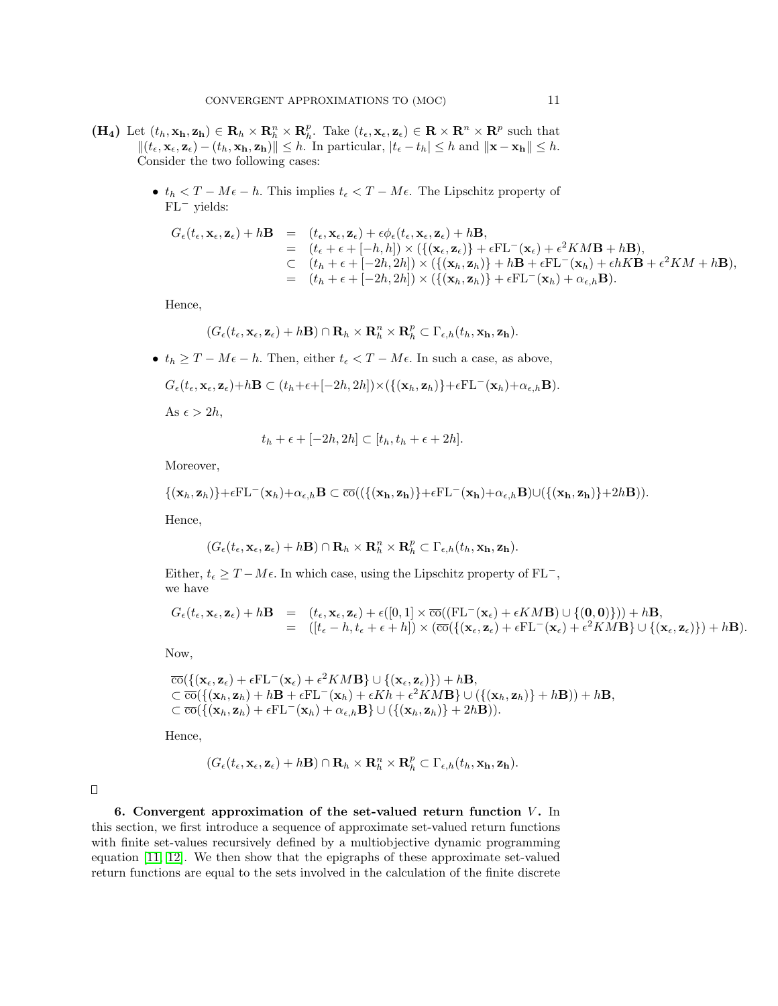- (H<sub>4</sub>) Let  $(t_h, \mathbf{x_h}, \mathbf{z_h}) \in \mathbf{R}_h \times \mathbf{R}_h^n \times \mathbf{R}_h^p$ . Take  $(t_{\epsilon}, \mathbf{x}_{\epsilon}, \mathbf{z}_{\epsilon}) \in \mathbf{R} \times \mathbf{R}^n \times \mathbf{R}^p$  such that  $||(t_{\epsilon}, \mathbf{x}_{\epsilon}, \mathbf{z}_{\epsilon}) - (t_h, \mathbf{x_h}, \mathbf{z_h})|| \leq h$ . In particular,  $|t_{\epsilon} - t_h| \leq h$  and  $||\mathbf{x} - \mathbf{x_h}|| \leq h$ . Consider the two following cases:
	- $t_h < T M\epsilon h$ . This implies  $t_{\epsilon} < T M\epsilon$ . The Lipschitz property of FL<sup>−</sup> yields:

$$
G_{\epsilon}(t_{\epsilon}, \mathbf{x}_{\epsilon}, \mathbf{z}_{\epsilon}) + h\mathbf{B} = (t_{\epsilon}, \mathbf{x}_{\epsilon}, \mathbf{z}_{\epsilon}) + \epsilon \phi_{\epsilon}(t_{\epsilon}, \mathbf{x}_{\epsilon}, \mathbf{z}_{\epsilon}) + h\mathbf{B},
$$
  
\n
$$
= (t_{\epsilon} + \epsilon + [-h, h]) \times (\{(\mathbf{x}_{\epsilon}, \mathbf{z}_{\epsilon})\} + \epsilon F\mathbf{L}^{-}(\mathbf{x}_{\epsilon}) + \epsilon^{2}KMB + h\mathbf{B}),
$$
  
\n
$$
\subset (t_{h} + \epsilon + [-2h, 2h]) \times (\{(\mathbf{x}_{h}, \mathbf{z}_{h})\} + h\mathbf{B} + \epsilon F\mathbf{L}^{-}(\mathbf{x}_{h}) + \epsilon h\mathbf{K}\mathbf{B} + \epsilon^{2}KM + h\mathbf{B}),
$$
  
\n
$$
= (t_{h} + \epsilon + [-2h, 2h]) \times (\{(\mathbf{x}_{h}, \mathbf{z}_{h})\} + \epsilon F\mathbf{L}^{-}(\mathbf{x}_{h}) + \alpha_{\epsilon, h}\mathbf{B}).
$$

Hence,

$$
(G_{\epsilon}(t_{\epsilon}, \mathbf{x}_{\epsilon}, \mathbf{z}_{\epsilon}) + h\mathbf{B}) \cap \mathbf{R}_{h} \times \mathbf{R}_{h}^{n} \times \mathbf{R}_{h}^{p} \subset \Gamma_{\epsilon, h}(t_{h}, \mathbf{x_{h}}, \mathbf{z_{h}}).
$$

•  $t_h \geq T - M\epsilon - h$ . Then, either  $t_{\epsilon} < T - M\epsilon$ . In such a case, as above,

$$
G_{\epsilon}(t_{\epsilon}, \mathbf{x}_{\epsilon}, \mathbf{z}_{\epsilon}) + h\mathbf{B} \subset (t_h + \epsilon + [-2h, 2h]) \times (\{(\mathbf{x}_h, \mathbf{z}_h)\} + \epsilon \mathrm{FL}^{-}(\mathbf{x}_h) + \alpha_{\epsilon,h}\mathbf{B}).
$$

As  $\epsilon > 2h$ ,

$$
t_h + \epsilon + [-2h, 2h] \subset [t_h, t_h + \epsilon + 2h].
$$

Moreover,

$$
\{(\mathbf{x}_h, \mathbf{z}_h)\} + \epsilon \mathrm{FL}^-(\mathbf{x}_h) + \alpha_{\epsilon,h} \mathbf{B} \subset \overline{\mathrm{co}}((\{(\mathbf{x_h}, \mathbf{z_h})\} + \epsilon \mathrm{FL}^-(\mathbf{x_h}) + \alpha_{\epsilon,h} \mathbf{B}) \cup (\{(\mathbf{x_h}, \mathbf{z_h})\} + 2h \mathbf{B})).
$$

Hence,

$$
(G_{\epsilon}(t_{\epsilon}, \mathbf{x}_{\epsilon}, \mathbf{z}_{\epsilon}) + h\mathbf{B}) \cap \mathbf{R}_{h} \times \mathbf{R}_{h}^{n} \times \mathbf{R}_{h}^{p} \subset \Gamma_{\epsilon, h}(t_{h}, \mathbf{x_{h}}, \mathbf{z_{h}}).
$$

Either,  $t_{\epsilon} \geq T - M\epsilon$ . In which case, using the Lipschitz property of FL<sup>-</sup>, we have

$$
G_{\epsilon}(t_{\epsilon}, \mathbf{x}_{\epsilon}, \mathbf{z}_{\epsilon}) + h\mathbf{B} = (t_{\epsilon}, \mathbf{x}_{\epsilon}, \mathbf{z}_{\epsilon}) + \epsilon([0, 1] \times \overline{\mathrm{co}}((\mathrm{FL}^{-}(\mathbf{x}_{\epsilon}) + \epsilon KM \mathbf{B}) \cup \{(0, 0)\})) + h\mathbf{B},
$$
  
= 
$$
([t_{\epsilon} - h, t_{\epsilon} + \epsilon + h]) \times (\overline{\mathrm{co}}(\{(\mathbf{x}_{\epsilon}, \mathbf{z}_{\epsilon}) + \epsilon \mathrm{FL}^{-}(\mathbf{x}_{\epsilon}) + \epsilon^{2} KM \mathbf{B}\} \cup \{(\mathbf{x}_{\epsilon}, \mathbf{z}_{\epsilon})\}) + h\mathbf{B}).
$$

Now,

$$
\overline{co}(\{(x_{\epsilon}, \mathbf{z}_{\epsilon}) + \epsilon \mathbf{FL}^{-}(\mathbf{x}_{\epsilon}) + \epsilon^{2}KMB\} \cup \{(\mathbf{x}_{\epsilon}, \mathbf{z}_{\epsilon})\}) + h\mathbf{B},
$$
\n
$$
\subset \overline{co}(\{(\mathbf{x}_{h}, \mathbf{z}_{h}) + h\mathbf{B} + \epsilon \mathbf{FL}^{-}(\mathbf{x}_{h}) + \epsilon Kh + \epsilon^{2}KMB\} \cup (\{(\mathbf{x}_{h}, \mathbf{z}_{h})\} + h\mathbf{B})) + h\mathbf{B},
$$
\n
$$
\subset \overline{co}(\{(\mathbf{x}_{h}, \mathbf{z}_{h}) + \epsilon \mathbf{FL}^{-}(\mathbf{x}_{h}) + \alpha_{\epsilon,h}\mathbf{B}\} \cup (\{(\mathbf{x}_{h}, \mathbf{z}_{h})\} + 2h\mathbf{B})).
$$

Hence,

$$
(G_{\epsilon}(t_{\epsilon}, \mathbf{x}_{\epsilon}, \mathbf{z}_{\epsilon}) + h\mathbf{B}) \cap \mathbf{R}_{h} \times \mathbf{R}_{h}^{n} \times \mathbf{R}_{h}^{p} \subset \Gamma_{\epsilon, h}(t_{h}, \mathbf{x_{h}}, \mathbf{z_{h}}).
$$

 $\Box$ 

<span id="page-10-0"></span>6. Convergent approximation of the set-valued return function  $V$ . In this section, we first introduce a sequence of approximate set-valued return functions with finite set-values recursively defined by a multiobjective dynamic programming equation [\[11,](#page-24-6) [12\]](#page-24-7). We then show that the epigraphs of these approximate set-valued return functions are equal to the sets involved in the calculation of the finite discrete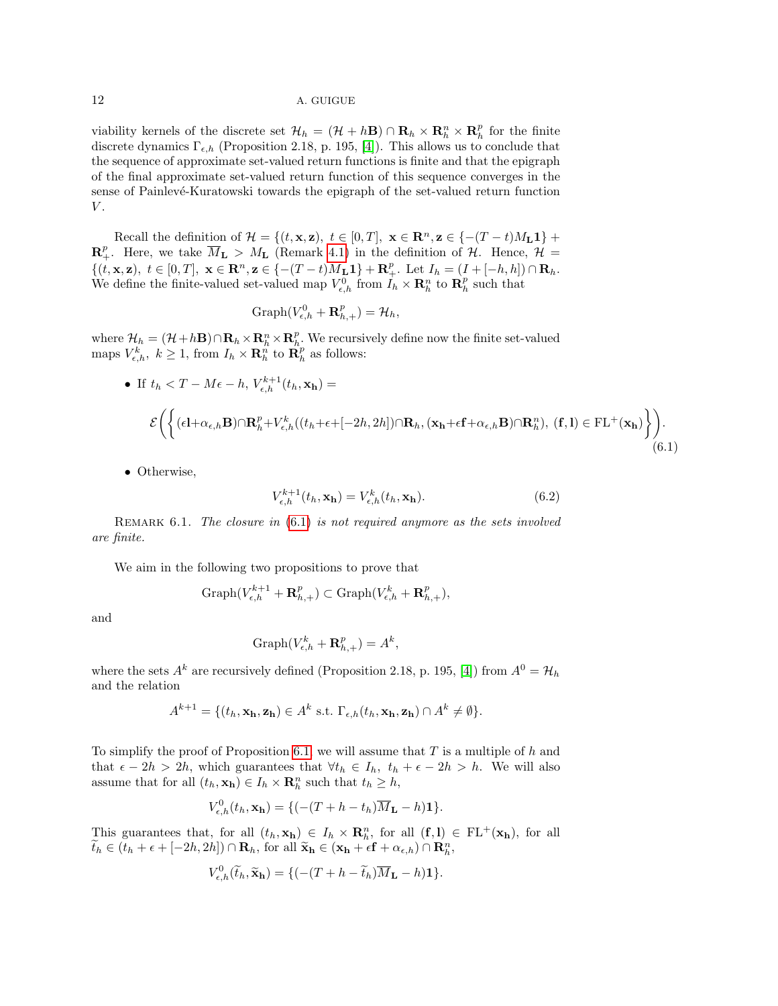viability kernels of the discrete set  $\mathcal{H}_h = (\mathcal{H} + h\mathbf{B}) \cap \mathbf{R}_h \times \mathbf{R}_h^n \times \mathbf{R}_h^p$  for the finite discrete dynamics  $\Gamma_{\epsilon,h}$  (Proposition 2.18, p. 195, [\[4\]](#page-23-0)). This allows us to conclude that the sequence of approximate set-valued return functions is finite and that the epigraph of the final approximate set-valued return function of this sequence converges in the sense of Painlevé-Kuratowski towards the epigraph of the set-valued return function  $V$ .

Recall the definition of  $\mathcal{H} = \{(t, \mathbf{x}, \mathbf{z}), t \in [0, T], \mathbf{x} \in \mathbb{R}^n, \mathbf{z} \in \{-(T-t)M_L\mathbf{1}\}$  +  $\mathbf{R}^p_+$ . Here, we take  $\overline{M}_\mathbf{L} > M_\mathbf{L}$  (Remark [4.1\)](#page-7-1) in the definition of  $\mathcal{H}$ . Hence,  $\mathcal{H} =$  $\{(t, \mathbf{x}, \mathbf{z}), t \in [0, T], \mathbf{x} \in \mathbb{R}^n, \mathbf{z} \in \{-(T-t)\overline{M}_{\mathbf{L}}\mathbf{1}\} + \mathbf{R}^p_+\}.$  Let  $I_h = (I + [-h, h]) \cap \mathbf{R}_h$ . We define the finite-valued set-valued map  $V_{\epsilon,h}^0$  from  $I_h \times \mathbf{R}_h^n$  to  $\mathbf{R}_h^p$  such that

$$
Graph(V_{\epsilon,h}^0 + \mathbf{R}_{h,+}^p) = \mathcal{H}_h,
$$

where  $\mathcal{H}_h = (\mathcal{H} + h\mathbf{B}) \cap \mathbf{R}_h \times \mathbf{R}_h^n \times \mathbf{R}_h^n$ . We recursively define now the finite set-valued maps  $V_{\epsilon,h}^k$ ,  $k \geq 1$ , from  $I_h \times \mathbf{R}_h^n$  to  $\mathbf{R}_h^p$  as follows:

• If 
$$
t_h < T - M\epsilon - h
$$
,  $V_{\epsilon,h}^{k+1}(t_h, \mathbf{x_h}) =$   
\n
$$
\mathcal{E}\left(\left\{(\epsilon \mathbf{l} + \alpha_{\epsilon,h} \mathbf{B}) \cap \mathbf{R}_h^p + V_{\epsilon,h}^k((t_h + \epsilon + [-2h, 2h]) \cap \mathbf{R}_h, (\mathbf{x_h} + \epsilon \mathbf{f} + \alpha_{\epsilon,h} \mathbf{B}) \cap \mathbf{R}_h^n), (\mathbf{f}, \mathbf{l}) \in \mathrm{FL^+}(\mathbf{x_h})\right\}\right).
$$
\n(6.1)

• Otherwise,

<span id="page-11-1"></span><span id="page-11-0"></span>
$$
V_{\epsilon,h}^{k+1}(t_h, \mathbf{x_h}) = V_{\epsilon,h}^k(t_h, \mathbf{x_h}).
$$
\n(6.2)

REMARK  $6.1$ . The closure in  $(6.1)$  is not required anymore as the sets involved are finite.

We aim in the following two propositions to prove that

$$
\mathrm{Graph}(V_{\epsilon,h}^{k+1}+\mathbf{R}_{h,+}^p)\subset \mathrm{Graph}(V_{\epsilon,h}^k+\mathbf{R}_{h,+}^p),
$$

and

$$
Graph(V_{\epsilon,h}^k + \mathbf{R}_{h,+}^p) = A^k,
$$

where the sets  $A^k$  are recursively defined (Proposition 2.18, p. 195, [\[4\]](#page-23-0)) from  $A^0 = H_h$ and the relation

$$
A^{k+1} = \{ (t_h, \mathbf{x_h}, \mathbf{z_h}) \in A^k \text{ s.t. } \Gamma_{\epsilon,h}(t_h, \mathbf{x_h}, \mathbf{z_h}) \cap A^k \neq \emptyset \}.
$$

To simplify the proof of Proposition [6.1,](#page-12-0) we will assume that  $T$  is a multiple of  $h$  and that  $\epsilon - 2h > 2h$ , which guarantees that  $\forall t_h \in I_h$ ,  $t_h + \epsilon - 2h > h$ . We will also assume that for all  $(t_h, \mathbf{x_h}) \in I_h \times \mathbf{R}_h^n$  such that  $t_h \geq h$ ,

$$
V_{\epsilon,h}^{0}(t_{h}, \mathbf{x_{h}}) = \{(-(T+h-t_{h})\overline{M}_{\mathbf{L}} - h)\mathbf{1}\}.
$$

This guarantees that, for all  $(t_h, \mathbf{x_h}) \in I_h \times \mathbf{R}_h^n$ , for all  $(\mathbf{f}, \mathbf{l}) \in FL^+(\mathbf{x_h})$ , for all  $\widetilde{t}_h \in (t_h + \epsilon + [-2h, 2h]) \cap \mathbf{R}_h$ , for all  $\widetilde{\mathbf{x}}_h \in (\mathbf{x_h} + \epsilon \mathbf{f} + \alpha_{\epsilon,h}) \cap \mathbf{R}_h^n$ ,

$$
V_{\epsilon,h}^0(\widetilde{t}_h, \widetilde{\mathbf{x}}_h) = \{(-(T+h-\widetilde{t}_h)\overline{M}_{\mathbf{L}} - h)\mathbf{1}\}.
$$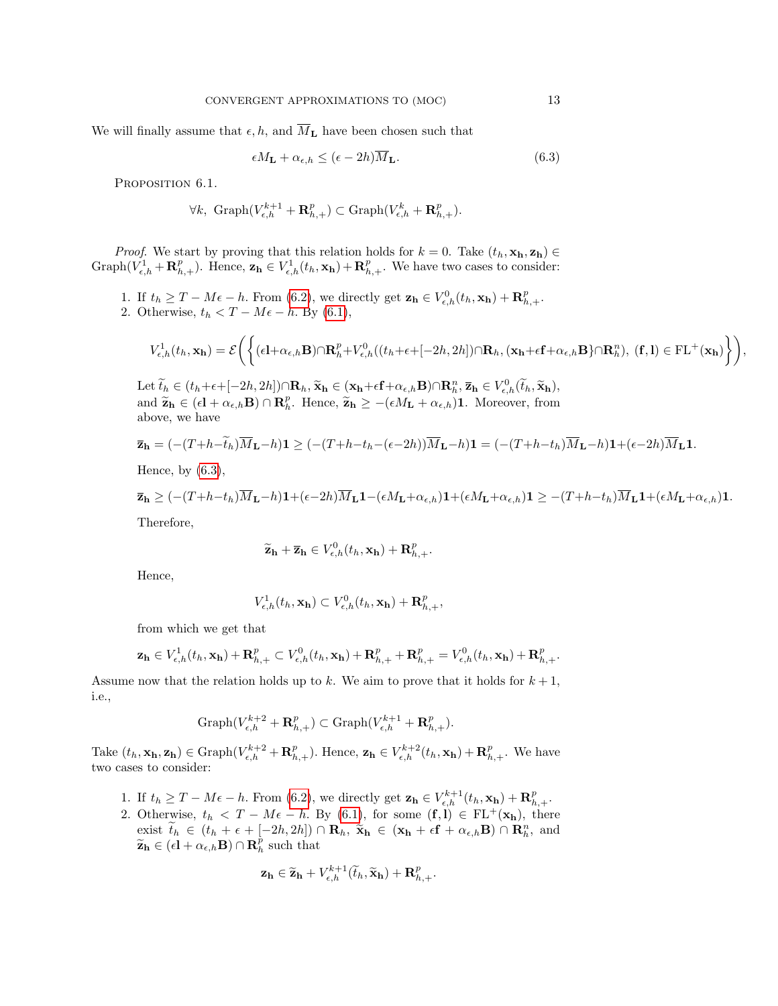We will finally assume that  $\epsilon, h$ , and  $\overline{M}_{\mathbf{L}}$  have been chosen such that

$$
\epsilon M_{\mathbf{L}} + \alpha_{\epsilon, h} \le (\epsilon - 2h) \overline{M}_{\mathbf{L}}.\tag{6.3}
$$

<span id="page-12-0"></span>PROPOSITION 6.1.

$$
\forall k, \ \mathrm{Graph}(V_{\epsilon,h}^{k+1} + \mathbf{R}_{h,+}^p) \subset \mathrm{Graph}(V_{\epsilon,h}^k + \mathbf{R}_{h,+}^p).
$$

*Proof.* We start by proving that this relation holds for  $k = 0$ . Take  $(t_h, \mathbf{x_h}, \mathbf{z_h}) \in$ Graph $(V_{\epsilon,h}^1 + \mathbf{R}_{h,+}^p)$ . Hence,  $\mathbf{z}_h \in V_{\epsilon,h}^1(t_h, \mathbf{x}_h) + \mathbf{R}_{h,+}^p$ . We have two cases to consider:

1. If  $t_h \geq T - M\epsilon - h$ . From [\(6.2\)](#page-11-1), we directly get  $\mathbf{z_h} \in V_{\epsilon,h}^0(t_h, \mathbf{x_h}) + \mathbf{R}_{h,+}^p$ . 2. Otherwise,  $t_h < T - M\epsilon - h$ . By [\(6.1\)](#page-11-0),

$$
V_{\epsilon,h}^1(t_h,\mathbf{x_h})=\mathcal{E}\Bigg(\bigg\{(\epsilon\mathbf{l}+\alpha_{\epsilon,h}\mathbf{B})\cap\mathbf{R}_h^p+V_{\epsilon,h}^0((t_h+\epsilon+[-2h,2h])\cap\mathbf{R}_h,(\mathbf{x_h}+\epsilon\mathbf{f}+\alpha_{\epsilon,h}\mathbf{B}\}\cap\mathbf{R}_h^n),\ (\mathbf{f},\mathbf{l})\in\mathrm{FL^+}(\mathbf{x_h})\bigg\}\Bigg),
$$

Let  $\widetilde{t}_h \in (t_h + \epsilon + [-2h, 2h]) \cap \mathbf{R}_h$ ,  $\widetilde{\mathbf{x}}_h \in (\mathbf{x}_h + \epsilon \mathbf{f} + \alpha_{\epsilon,h} \mathbf{B}) \cap \mathbf{R}_h^n$ ,  $\overline{\mathbf{z}}_h \in V_{\epsilon,h}^0(\widetilde{t}_h, \widetilde{\mathbf{x}}_h)$ , and  $\widetilde{\mathbf{z}}_h \in (\epsilon \mathbf{l} + \alpha_{\epsilon,h} \mathbf{B}) \cap \mathbf{R}_h^p$ . Hence,  $\widetilde{\mathbf{z}}_h \ge -(\epsilon M_\mathbf{L} + \alpha_{\epsilon,h})\mathbf{1}$ . Moreover, from above, we have

$$
\overline{\mathbf{z}}_{\mathbf{h}} = (-(T+h-\tilde{t}_h)\overline{M}_{\mathbf{L}}-h)\mathbf{1} \ge ((-(T+h-t_h-(\epsilon-2h))\overline{M}_{\mathbf{L}}-h)\mathbf{1}) = ((-(T+h-t_h)\overline{M}_{\mathbf{L}}-h)\mathbf{1}+(\epsilon-2h)\overline{M}_{\mathbf{L}}\mathbf{1}).
$$

Hence, by  $(6.3)$ ,

$$
\overline{\mathbf{z}}_{\mathbf{h}} \geq (-(T+h-t_h)\overline{M}_{\mathbf{L}}-h)\mathbf{1}+(\epsilon-2h)\overline{M}_{\mathbf{L}}\mathbf{1}-(\epsilon M_{\mathbf{L}}+\alpha_{\epsilon,h})\mathbf{1}+(\epsilon M_{\mathbf{L}}+\alpha_{\epsilon,h})\mathbf{1} \geq -(T+h-t_h)\overline{M}_{\mathbf{L}}\mathbf{1}+(\epsilon M_{\mathbf{L}}+\alpha_{\epsilon,h})\mathbf{1}.
$$

Therefore,

$$
\widetilde{\mathbf{z}}_{\mathbf{h}} + \overline{\mathbf{z}}_{\mathbf{h}} \in V_{\epsilon,h}^{0}(t_{h}, \mathbf{x}_{\mathbf{h}}) + \mathbf{R}_{h,+}^{p}.
$$

Hence,

$$
V_{\epsilon,h}^1(t_h, \mathbf{x_h}) \subset V_{\epsilon,h}^0(t_h, \mathbf{x_h}) + \mathbf{R}_{h,+}^p,
$$

from which we get that

$$
\mathbf{z_h}\in V_{\epsilon,h}^1(t_h,\mathbf{x_h})+\mathbf{R}_{h,+}^p\subset V_{\epsilon,h}^0(t_h,\mathbf{x_h})+\mathbf{R}_{h,+}^p+\mathbf{R}_{h,+}^p=V_{\epsilon,h}^0(t_h,\mathbf{x_h})+\mathbf{R}_{h,+}^p.
$$

Assume now that the relation holds up to k. We aim to prove that it holds for  $k+1$ , i.e.,

$$
\textrm{Graph}(V^{k+2}_{\epsilon,h}+\mathbf{R}_{h,+}^p)\subset \textrm{Graph}(V^{k+1}_{\epsilon,h}+\mathbf{R}_{h,+}^p).
$$

Take  $(t_h, \mathbf{x_h}, \mathbf{z_h}) \in \text{Graph}(V_{\epsilon,h}^{k+2} + \mathbf{R}_{h,+}^p)$ . Hence,  $\mathbf{z_h} \in V_{\epsilon,h}^{k+2}(t_h, \mathbf{x_h}) + \mathbf{R}_{h,+}^p$ . We have two cases to consider:

- 1. If  $t_h \geq T M\epsilon h$ . From [\(6.2\)](#page-11-1), we directly get  $\mathbf{z_h} \in V_{\epsilon,h}^{k+1}(t_h, \mathbf{x_h}) + \mathbf{R}_{h,+}^p$ .
- 2. Otherwise,  $t_h < T M\epsilon h$ . By [\(6.1\)](#page-11-0), for some  $(f, l) \in FL^+(\mathbf{x}_h)$ , there exist  $\tilde{t}_h \in (t_h + \epsilon + [-2h, 2h]) \cap \mathbf{R}_h$ ,  $\tilde{\mathbf{x}}_h \in (\mathbf{x}_h + \epsilon \mathbf{f} + \alpha_{\epsilon,h} \mathbf{B}) \cap \mathbf{R}_h^n$ , and  $\widetilde{\mathbf{z}}_h \in (\epsilon \mathbf{l} + \alpha_{\epsilon,h} \mathbf{B}) \cap \mathbf{R}_h^{\widetilde{p}}$  such that

$$
\mathbf{z_h} \in \widetilde{\mathbf{z_h}} + V_{\epsilon,h}^{k+1}(\widetilde{t}_h, \widetilde{\mathbf{x_h}}) + \mathbf{R}_{h,+}^p.
$$

<span id="page-12-1"></span>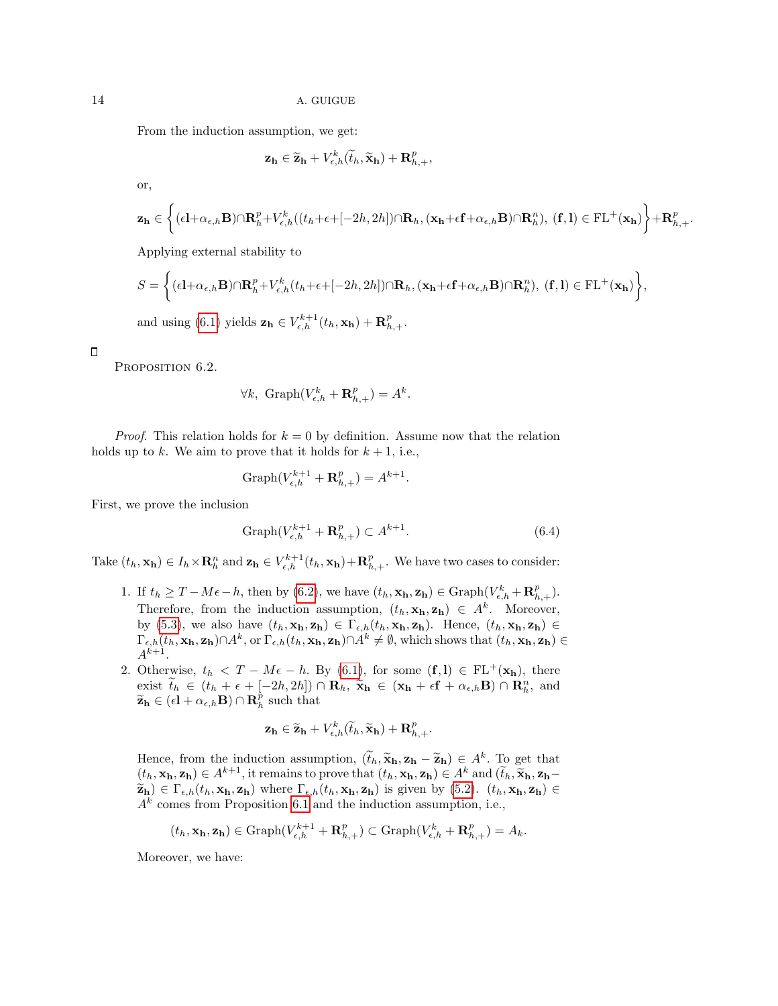From the induction assumption, we get:

$$
\mathbf{z_h} \in \widetilde{\mathbf{z_h}} + V_{\epsilon,h}^k(\widetilde{t}_h, \widetilde{\mathbf{x_h}}) + \mathbf{R}_{h,+}^p,
$$

or,

$$
\mathbf{z_h} \in \left\{ (\epsilon \mathbf{l} + \alpha_{\epsilon,h} \mathbf{B}) \cap \mathbf{R}_h^p + V_{\epsilon,h}^k((t_h + \epsilon + [-2h,2h]) \cap \mathbf{R}_h, (\mathbf{x_h} + \epsilon \mathbf{f} + \alpha_{\epsilon,h} \mathbf{B}) \cap \mathbf{R}_h^n), (\mathbf{f}, \mathbf{l}) \in \mathrm{FL^+}(\mathbf{x_h}) \right\} + \mathbf{R}_{h,+}^p.
$$

Applying external stability to

$$
S = \left\{ (\epsilon \mathbf{l} + \alpha_{\epsilon,h} \mathbf{B}) \cap \mathbf{R}_h^p + V_{\epsilon,h}^k (t_h + \epsilon + [-2h, 2h]) \cap \mathbf{R}_h, (\mathbf{x_h} + \epsilon \mathbf{f} + \alpha_{\epsilon,h} \mathbf{B}) \cap \mathbf{R}_h^n), (\mathbf{f}, \mathbf{l}) \in \mathrm{FL^+}(\mathbf{x_h}) \right\},\
$$
 and using (6.1) yields  $\mathbf{z_h} \in V_{\epsilon,h}^{k+1}(t_h, \mathbf{x_h}) + \mathbf{R}_{h,+}^p$ .

<span id="page-13-1"></span> $\Box$ 

PROPOSITION 6.2.

$$
\forall k, \text{ Graph}(V_{\epsilon,h}^k + \mathbf{R}_{h,+}^p) = A^k.
$$

*Proof.* This relation holds for  $k = 0$  by definition. Assume now that the relation holds up to k. We aim to prove that it holds for  $k + 1$ , i.e.,

<span id="page-13-0"></span>
$$
Graph(V_{\epsilon,h}^{k+1} + \mathbf{R}_{h,+}^p) = A^{k+1}.
$$

First, we prove the inclusion

$$
Graph(V_{\epsilon,h}^{k+1} + \mathbf{R}_{h,+}^p) \subset A^{k+1}.
$$
\n(6.4)

Take  $(t_h, \mathbf{x_h}) \in I_h \times \mathbf{R}_h^n$  and  $\mathbf{z_h} \in V_{\epsilon,h}^{k+1}(t_h, \mathbf{x_h}) + \mathbf{R}_{h,+}^p$ . We have two cases to consider:

- 1. If  $t_h \geq T M\epsilon h$ , then by [\(6.2\)](#page-11-1), we have  $(t_h, \mathbf{x_h}, \mathbf{z_h}) \in \text{Graph}(V_{\epsilon,h}^k + \mathbf{R}_{h,+}^p)$ . Therefore, from the induction assumption,  $(t_h, \mathbf{x_h}, \mathbf{z_h}) \in A^k$ . Moreover, by [\(5.3\)](#page-9-0), we also have  $(t_h, \mathbf{x_h}, \mathbf{z_h}) \in \Gamma_{\epsilon,h}(t_h, \mathbf{x_h}, \mathbf{z_h})$ . Hence,  $(t_h, \mathbf{x_h}, \mathbf{z_h}) \in$  $\Gamma_{\epsilon,h}(t_h, \mathbf{x_h}, \mathbf{z_h}) \cap A^k$ , or  $\Gamma_{\epsilon,h}(t_h, \mathbf{x_h}, \mathbf{z_h}) \cap A^k \neq \emptyset$ , which shows that  $(t_h, \mathbf{x_h}, \mathbf{z_h}) \in$  $A^{k+1}$ .
- 2. Otherwise,  $t_h < T M\epsilon h$ . By [\(6.1\)](#page-11-0), for some  $(f, l) \in FL^+(\mathbf{x}_h)$ , there exist  $\tilde{t}_h \in (t_h + \epsilon + [-2h, 2h]) \cap \mathbf{R}_h$ ,  $\tilde{\mathbf{x}}_h \in (\mathbf{x}_h + \epsilon \mathbf{f} + \alpha_{\epsilon,h} \mathbf{B}) \cap \mathbf{R}_h^n$ , and  $\tilde{\mathbf{z}}_h \in (c_1 + c_2, \mathbf{R}) \cap \mathbf{R}_h^p$  such that  $\widetilde{\mathbf{z}}_h \in (\epsilon \mathbf{l} + \alpha_{\epsilon,h} \mathbf{B}) \cap \mathbf{R}_h^{\widetilde{p}}$  such that

$$
\mathbf{z_h} \in \widetilde{\mathbf{z_h}} + V_{\epsilon,h}^k(\widetilde{t}_h, \widetilde{\mathbf{x_h}}) + \mathbf{R}_{h,+}^p.
$$

Hence, from the induction assumption,  $(\tilde{t}_h, \tilde{\mathbf{x}}_h, \mathbf{z}_h - \tilde{\mathbf{z}}_h) \in A^k$ . To get that  $(t_1, \mathbf{y}_h, \mathbf{z}_h) \in A^k$  and  $(\tilde{t}_h, \tilde{\mathbf{x}}_h, \mathbf{z}_h)$  $(t_h, \mathbf{x_h}, \mathbf{z_h}) \in A^{k+1}$ , it remains to prove that  $(t_h, \mathbf{x_h}, \mathbf{z_h}) \in A^k$  and  $(\tilde{t}_h, \tilde{\mathbf{x_h}}, \mathbf{z_h}) \in \Gamma$ ,  $(t_h, \mathbf{x_h}, \mathbf{z_h})$ , where  $\Gamma$ ,  $(t_h, \mathbf{x_h}, \mathbf{z_h})$  is given by  $(5, 2)$ ,  $(t_h, \mathbf{x_h}, \mathbf{z_h}) \in \Gamma$  $\widetilde{\mathbf{z}}_h$ )  $\in \Gamma_{\epsilon,h}(t_h, \mathbf{x_h}, \mathbf{z_h})$  where  $\Gamma_{\epsilon,h}(t_h, \mathbf{x_h}, \mathbf{z_h})$  is given by [\(5.2\)](#page-8-0).  $(t_h, \mathbf{x_h}, \mathbf{z_h}) \in$  $A<sup>k</sup>$  comes from Proposition [6.1](#page-12-0) and the induction assumption, i.e.,

$$
(t_h, \mathbf{x_h}, \mathbf{z_h}) \in \text{Graph}(V_{\epsilon,h}^{k+1} + \mathbf{R}_{h,+}^p) \subset \text{Graph}(V_{\epsilon,h}^k + \mathbf{R}_{h,+}^p) = A_k.
$$

Moreover, we have: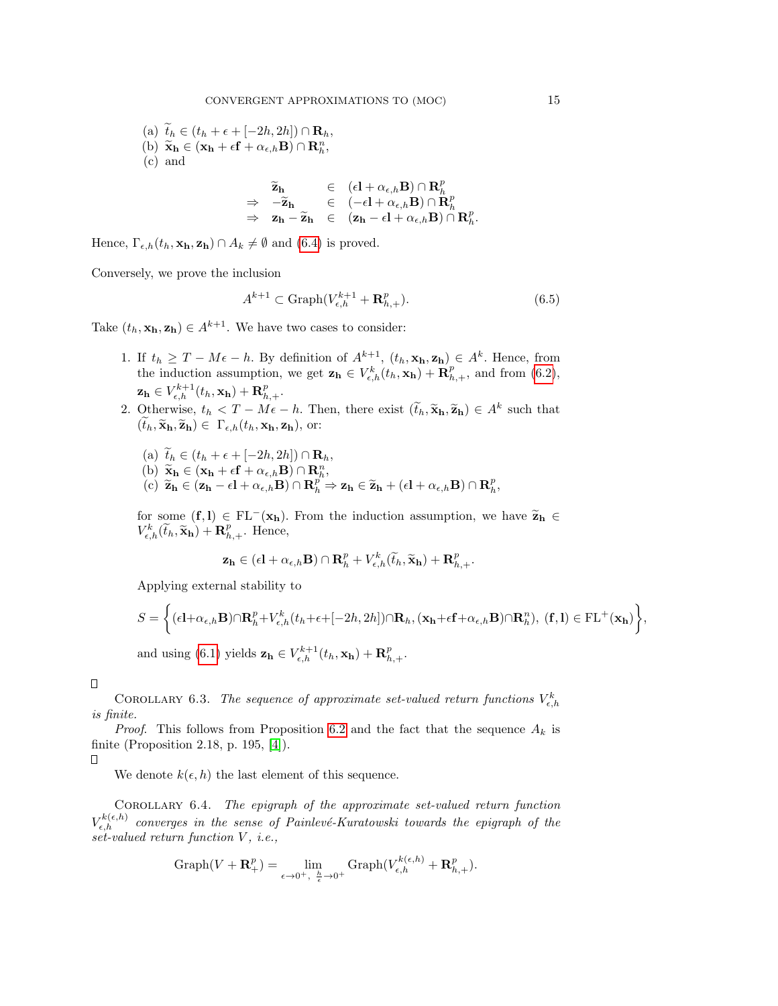(a)  $\tilde{t}_h \in (t_h + \epsilon + [-2h, 2h]) \cap \mathbf{R}_h$ , (b)  $\widetilde{\mathbf{x}}_h \in (\mathbf{x}_h + \epsilon \mathbf{f} + \alpha_{\epsilon,h} \mathbf{B}) \cap \mathbf{R}_h^n$ , (c) and

$$
\begin{array}{lcl} \widetilde{\mathbf{z}}_{\mathbf{h}} & \in & (\epsilon\mathbf{l} + \alpha_{\epsilon,h} \mathbf{B}) \cap \mathbf{R}^{p}_{h} \\ \Rightarrow & -\widetilde{\mathbf{z}}_{\mathbf{h}} & \in & (-\epsilon\mathbf{l} + \alpha_{\epsilon,h} \mathbf{B}) \cap \mathbf{R}^{p}_{h} \\ \Rightarrow & \mathbf{z}_{\mathbf{h}} - \widetilde{\mathbf{z}}_{\mathbf{h}} & \in & (\mathbf{z}_{\mathbf{h}} - \epsilon\mathbf{l} + \alpha_{\epsilon,h} \mathbf{B}) \cap \mathbf{R}^{p}_{h}. \end{array}
$$

Hence,  $\Gamma_{\epsilon,h}(t_h, \mathbf{x_h}, \mathbf{z_h}) \cap A_k \neq \emptyset$  and [\(6.4\)](#page-13-0) is proved.

Conversely, we prove the inclusion

$$
A^{k+1} \subset \text{Graph}(V_{\epsilon,h}^{k+1} + \mathbf{R}_{h,+}^p). \tag{6.5}
$$

Take  $(t_h, \mathbf{x_h}, \mathbf{z_h}) \in A^{k+1}$ . We have two cases to consider:

- 1. If  $t_h \geq T M\epsilon h$ . By definition of  $A^{k+1}$ ,  $(t_h, \mathbf{x_h}, \mathbf{z_h}) \in A^k$ . Hence, from the induction assumption, we get  $\mathbf{z_h} \in V_{\epsilon,h}^k(t_h, \mathbf{x_h}) + \mathbf{R}_{h,+}^p$ , and from [\(6.2\)](#page-11-1),  $\mathbf{z_h} \in V^{k+1}_{\epsilon,h}(t_h,\mathbf{x_h}) + \mathbf{R}_{h,+}^p.$
- 2. Otherwise,  $t_h < T M\epsilon h$ . Then, there exist  $(\tilde{t}_h, \tilde{\mathbf{x}}_h, \tilde{\mathbf{z}}_h) \in A^k$  such that  $(\widetilde{t}_h, \widetilde{\mathbf{x}}_h, \widetilde{\mathbf{z}}_h) \in \Gamma_{\epsilon,h}(t_h, \mathbf{x_h}, \mathbf{z_h}),$  or:
	- (a)  $\tilde{t}_h \in (t_h + \epsilon + [-2h, 2h]) \cap \mathbf{R}_h$ , (b)  $\widetilde{\mathbf{x}}_h \in (\mathbf{x}_h + \epsilon \mathbf{f} + \alpha_{\epsilon,h} \mathbf{B}) \cap \mathbf{R}_h^n$ ,<br>(c)  $\widetilde{\mathbf{x}}_h \in (\mathbf{z}_h + \epsilon \mathbf{I} + \alpha_{\epsilon,h} \mathbf{B}) \cap \mathbf{R}_h^n$ (c)  $\widetilde{\mathbf{z}}_h \in (\mathbf{z}_h - \epsilon \mathbf{l} + \alpha_{\epsilon,h} \mathbf{B}) \cap \mathbf{R}_h^{p^*} \Rightarrow \mathbf{z}_h \in \widetilde{\mathbf{z}}_h + (\epsilon \mathbf{l} + \alpha_{\epsilon,h} \mathbf{B}) \cap \mathbf{R}_h^p,$

for some  $(f, l) \in FL^{-}(\mathbf{x_h})$ . From the induction assumption, we have  $\widetilde{\mathbf{z}}_h \in$  $V_{\epsilon,h}^k(\tilde{t}_h, \tilde{\mathbf{x}}_h) + \mathbf{R}_{h,+}^p$ . Hence,

$$
\mathbf{z_h} \in (\epsilon \mathbf{l} + \alpha_{\epsilon,h} \mathbf{B}) \cap \mathbf{R}_h^p + V_{\epsilon,h}^k(\widetilde{t}_h, \widetilde{\mathbf{x}}_{\mathbf{h}}) + \mathbf{R}_{h,+}^p.
$$

Applying external stability to

$$
S = \left\{ (\epsilon \mathbf{l} + \alpha_{\epsilon,h} \mathbf{B}) \cap \mathbf{R}_h^p + V_{\epsilon,h}^k(t_h + \epsilon + [-2h, 2h]) \cap \mathbf{R}_h, (\mathbf{x_h} + \epsilon \mathbf{f} + \alpha_{\epsilon,h} \mathbf{B}) \cap \mathbf{R}_h^n), (\mathbf{f}, \mathbf{l}) \in \mathrm{FL^+}(\mathbf{x_h}) \right\},\
$$
 and using (6.1) yields  $\mathbf{z_h} \in V_{\epsilon,h}^{k+1}(t_h, \mathbf{x_h}) + \mathbf{R}_{h,+}^p$ .

 $\Box$ 

COROLLARY 6.3. The sequence of approximate set-valued return functions  $V_{\epsilon,h}^k$ is finite.

*Proof.* This follows from Proposition [6.2](#page-13-1) and the fact that the sequence  $A_k$  is finite (Proposition 2.18, p. 195, [\[4\]](#page-23-0)).

 $\Box$ 

We denote  $k(\epsilon, h)$  the last element of this sequence.

<span id="page-14-0"></span>Corollary 6.4. The epigraph of the approximate set-valued return function  $V_{\epsilon,h}^{k(\epsilon,h)}$  converges in the sense of Painlevé-Kuratowski towards the epigraph of the set-valued return function V, i.e.,

$$
\operatorname{Graph}(V + \mathbf{R}^p_+) = \lim_{\epsilon \to 0^+, \ \frac{h}{\epsilon} \to 0^+} \operatorname{Graph}(V_{\epsilon,h}^{k(\epsilon,h)} + \mathbf{R}^p_{h,+}).
$$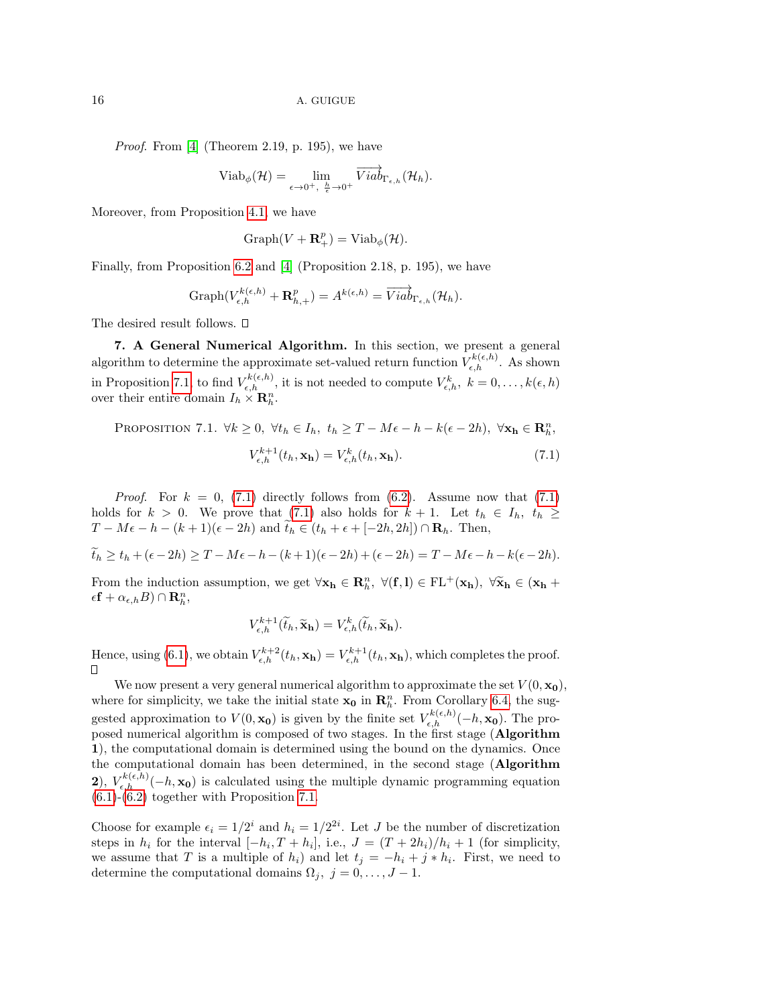Proof. From [\[4\]](#page-23-0) (Theorem 2.19, p. 195), we have

$$
Viab_{\phi}(\mathcal{H}) = \lim_{\epsilon \to 0^+, \ \frac{h}{\epsilon} \to 0^+} \overrightarrow{Viab}_{\Gamma_{\epsilon,h}}(\mathcal{H}_h).
$$

Moreover, from Proposition [4.1,](#page-5-1) we have

$$
Graph(V + \mathbf{R}^p_+) = Viab_{\phi}(\mathcal{H}).
$$

Finally, from Proposition [6.2](#page-13-1) and [\[4\]](#page-23-0) (Proposition 2.18, p. 195), we have

Graph
$$
(V_{\epsilon,h}^{k(\epsilon,h)} + \mathbf{R}_{h,+}^p) = A^{k(\epsilon,h)} = \overrightarrow{Viab}_{\Gamma_{\epsilon,h}}(\mathcal{H}_h).
$$

The desired result follows.  $\square$ 

<span id="page-15-0"></span>7. A General Numerical Algorithm. In this section, we present a general algorithm to determine the approximate set-valued return function  $V_{\epsilon,h}^{k(\epsilon,h)}$ . As shown in Proposition [7.1,](#page-15-1) to find  $V_{\epsilon,h}^{k(\epsilon,h)}$ , it is not needed to compute  $V_{\epsilon,h}^k$ ,  $k = 0, \ldots, k(\epsilon,h)$ over their entire domain  $I_h \times \mathbf{R}_h^n$ .

<span id="page-15-1"></span>PROPOSITION 7.1.  $\forall k \geq 0, \ \forall t_h \in I_h, \ t_h \geq T - M\epsilon - h - k(\epsilon - 2h), \ \forall \mathbf{x_h} \in \mathbb{R}^n_h$ 

<span id="page-15-2"></span>
$$
V_{\epsilon,h}^{k+1}(t_h, \mathbf{x_h}) = V_{\epsilon,h}^k(t_h, \mathbf{x_h}).
$$
\n(7.1)

*Proof.* For  $k = 0$ , [\(7.1\)](#page-15-2) directly follows from [\(6.2\)](#page-11-1). Assume now that (7.1) holds for  $k > 0$ . We prove that [\(7.1\)](#page-15-2) also holds for  $k + 1$ . Let  $t_h \in I_h$ ,  $t_h \geq$  $T - M\epsilon - h - (k+1)(\epsilon - 2h)$  and  $\widetilde{t}_h \in (t_h + \epsilon + [-2h, 2h]) \cap \mathbf{R}_h$ . Then,

$$
\widetilde{t}_h \ge t_h + (\epsilon - 2h) \ge T - M\epsilon - h - (k+1)(\epsilon - 2h) + (\epsilon - 2h) = T - M\epsilon - h - k(\epsilon - 2h).
$$

From the induction assumption, we get  $\forall \mathbf{x_h} \in \mathbf{R}_h^n$ ,  $\forall (\mathbf{f}, \mathbf{l}) \in \mathrm{FL^+}(\mathbf{x_h})$ ,  $\forall \widetilde{\mathbf{x}_h} \in (\mathbf{x_h} + \epsilon \mathbf{f} \cdot \mathbf{e}_h \cdot \mathbf{e}_h) \cap \mathbf{B}^n$  $\epsilon \mathbf{f} + \alpha_{\epsilon,h} B$ ) ∩  $\mathbf{R}_h^n$ ,

$$
V_{\epsilon,h}^{k+1}(\widetilde{t}_h,\widetilde{\mathbf{x}}_{h})=V_{\epsilon,h}^{k}(\widetilde{t}_h,\widetilde{\mathbf{x}}_{h}).
$$

Hence, using [\(6.1\)](#page-11-0), we obtain  $V_{\epsilon,h}^{k+2}(t_h, \mathbf{x_h}) = V_{\epsilon,h}^{k+1}(t_h, \mathbf{x_h})$ , which completes the proof.  $\Box$ 

We now present a very general numerical algorithm to approximate the set  $V(0, \mathbf{x_0})$ , where for simplicity, we take the initial state  $x_0$  in  $\mathbb{R}^n_h$ . From Corollary [6.4,](#page-14-0) the suggested approximation to  $V(0, \mathbf{x_0})$  is given by the finite set  $V_{\epsilon,h}^{k(\epsilon,h)}(-h, \mathbf{x_0})$ . The proposed numerical algorithm is composed of two stages. In the first stage (Algorithm 1), the computational domain is determined using the bound on the dynamics. Once the computational domain has been determined, in the second stage (Algorithm 2),  $V_{\epsilon,h}^{k(\epsilon,h)}(-h,\mathbf{x_0})$  is calculated using the multiple dynamic programming equation  $(6.1)-(6.2)$  $(6.1)-(6.2)$  $(6.1)-(6.2)$  together with Proposition [7.1.](#page-15-1)

Choose for example  $\epsilon_i = 1/2^i$  and  $h_i = 1/2^{2i}$ . Let J be the number of discretization steps in  $h_i$  for the interval  $[-h_i, T + h_i]$ , i.e.,  $J = (T + 2h_i)/h_i + 1$  (for simplicity, we assume that T is a multiple of  $h_i$ ) and let  $t_j = -h_i + j * h_i$ . First, we need to determine the computational domains  $\Omega_j, j = 0, \ldots, J - 1$ .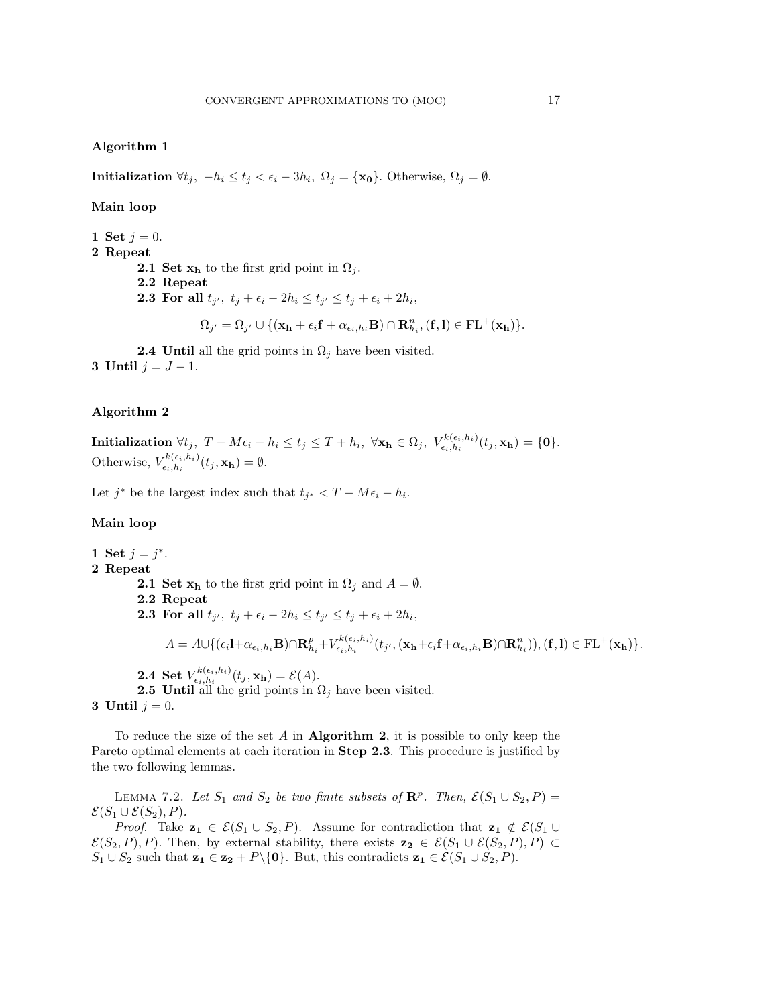### Algorithm 1

**Initialization**  $\forall t_j, -h_i \le t_j < \epsilon_i - 3h_i, \ \Omega_j = {\mathbf{x_0}}$ . Otherwise,  $\Omega_j = \emptyset$ .

Main loop

- 1 Set  $j = 0$ .
- 2 Repeat

2.1 Set  $\mathbf{x_h}$  to the first grid point in  $\Omega_i$ .

- 2.2 Repeat
- **2.3** For all  $t_{j'}$ ,  $t_j + \epsilon_i 2h_i \le t_{j'} \le t_j + \epsilon_i + 2h_i$ ,

$$
\Omega_{j'} = \Omega_{j'} \cup \{ (\mathbf{x_h} + \epsilon_i \mathbf{f} + \alpha_{\epsilon_i, h_i} \mathbf{B}) \cap \mathbf{R}^n_{h_i}, (\mathbf{f}, \mathbf{l}) \in \mathrm{FL^+}(\mathbf{x_h}) \}.
$$

**2.4 Until** all the grid points in  $\Omega_i$  have been visited. 3 Until  $j = J - 1$ .

### Algorithm 2

 $\textbf{Initialization} \,\,\forall t_j, \,\, T - M\epsilon_i - h_i \leq t_j \leq T + h_i, \,\, \forall \mathbf{x_h} \in \Omega_j, \,\, V^{k(\epsilon_i,h_i)}_{\epsilon_i,h_i}(t_j,\mathbf{x_h}) = \{\mathbf{0}\}.$ Otherwise,  $V_{\epsilon_i,h_i}^{k(\epsilon_i,h_i)}$  $\epsilon_{\epsilon_i,h_i}^{\kappa(\epsilon_i,h_i)}(t_j,\mathbf{x_h})=\emptyset.$ 

Let  $j^*$  be the largest index such that  $t_{j^*} < T - M\epsilon_i - h_i$ .

## Main loop

1 Set  $j = j^*$ . 2 Repeat **2.1 Set**  $x_h$  to the first grid point in  $\Omega_i$  and  $A = \emptyset$ . 2.2 Repeat **2.3** For all  $t_{j'}$ ,  $t_j + \epsilon_i - 2h_i \le t_{j'} \le t_j + \epsilon_i + 2h_i$ ,  $A = A \cup \{(\epsilon_i \mathbf{1} + \alpha_{\epsilon_i,h_i} \mathbf{B}) \cap \mathbf{R}^p_{h_i} + V^{k(\epsilon_i,h_i)}_{\epsilon_i,h_i}\}$  $\begin{array}{l} \epsilon_{ik}(\epsilon_i,h_i) (t_{j'},(\mathbf{x_h}+\epsilon_i\mathbf{f}+\alpha_{\epsilon_i,h_i}\mathbf{B})\cap \mathbf{R}^n_{h_i})), (\mathbf{f},\mathbf{l}) \in \mathrm{FL^+}(\mathbf{x_h})\}. \end{array}$ 2.4 Set  $V^{k(\epsilon_i,h_i)}_{\epsilon_i,h_i}$  $\epsilon_{\epsilon_i,h_i}^{\kappa(\epsilon_i,h_i)}(t_j,\mathbf{x_h})=\mathcal{E}(A).$ **2.5 Until all the grid points in**  $\Omega_i$  **have been visited.** 

3 Until  $j = 0$ .

To reduce the size of the set  $A$  in **Algorithm 2**, it is possible to only keep the Pareto optimal elements at each iteration in **Step 2.3**. This procedure is justified by the two following lemmas.

<span id="page-16-0"></span>LEMMA 7.2. Let  $S_1$  and  $S_2$  be two finite subsets of  $\mathbb{R}^p$ . Then,  $\mathcal{E}(S_1 \cup S_2, P)$  =  $\mathcal{E}(S_1 \cup \mathcal{E}(S_2), P)$ .

*Proof.* Take  $z_1 \in \mathcal{E}(S_1 \cup S_2, P)$ . Assume for contradiction that  $z_1 \notin \mathcal{E}(S_1 \cup P)$  $\mathcal{E}(S_2, P), P$ ). Then, by external stability, there exists  $\mathbf{z_2} \in \mathcal{E}(S_1 \cup \mathcal{E}(S_2, P), P) \subset$  $S_1 \cup S_2$  such that  $\mathbf{z_1} \in \mathbf{z_2} + P \setminus \{0\}$ . But, this contradicts  $\mathbf{z_1} \in \mathcal{E}(S_1 \cup S_2, P)$ .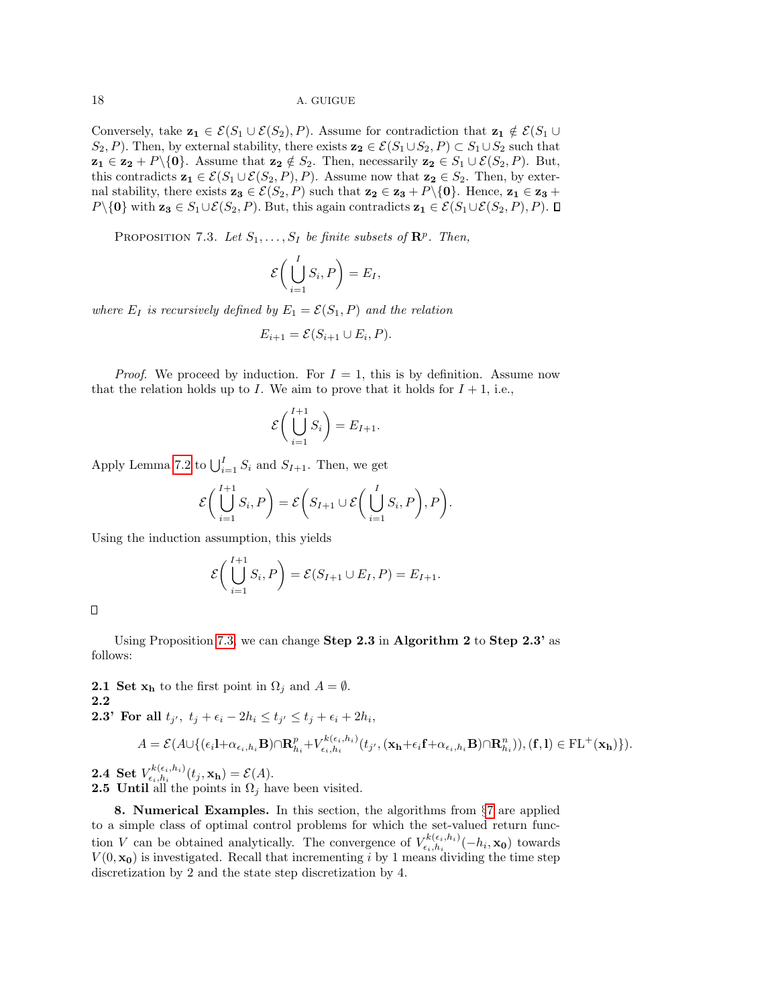Conversely, take  $z_1 \in \mathcal{E}(S_1 \cup \mathcal{E}(S_2), P)$ . Assume for contradiction that  $z_1 \notin \mathcal{E}(S_1 \cup$  $S_2, P$ ). Then, by external stability, there exists  $\mathbf{z_2} \in \mathcal{E}(S_1 \cup S_2, P) \subset S_1 \cup S_2$  such that  $z_1 \in z_2 + P\backslash\{0\}$ . Assume that  $z_2 \notin S_2$ . Then, necessarily  $z_2 \in S_1 \cup \mathcal{E}(S_2, P)$ . But, this contradicts  $\mathbf{z}_1 \in \mathcal{E}(S_1 \cup \mathcal{E}(S_2, P), P)$ . Assume now that  $\mathbf{z}_2 \in S_2$ . Then, by external stability, there exists  $z_3 \in \mathcal{E}(S_2, P)$  such that  $z_2 \in z_3 + P\setminus\{0\}$ . Hence,  $z_1 \in z_3 + P\setminus\{0\}$ .  $P\setminus\{0\}$  with  $\mathbf{z}_3 \in S_1\cup\mathcal{E}(S_2, P)$ . But, this again contradicts  $\mathbf{z}_1 \in \mathcal{E}(S_1\cup\mathcal{E}(S_2, P), P)$ . □

<span id="page-17-1"></span>PROPOSITION 7.3. Let  $S_1, \ldots, S_I$  be finite subsets of  $\mathbb{R}^p$ . Then,

$$
\mathcal{E}\bigg(\bigcup_{i=1}^I S_i, P\bigg) = E_I,
$$

where  $E_I$  is recursively defined by  $E_1 = \mathcal{E}(S_1, P)$  and the relation

$$
E_{i+1} = \mathcal{E}(S_{i+1} \cup E_i, P).
$$

*Proof.* We proceed by induction. For  $I = 1$ , this is by definition. Assume now that the relation holds up to I. We aim to prove that it holds for  $I + 1$ , i.e.,

$$
\mathcal{E}\bigg(\bigcup_{i=1}^{I+1} S_i\bigg) = E_{I+1}.
$$

Apply Lemma [7.2](#page-16-0) to  $\bigcup_{i=1}^{I} S_i$  and  $S_{I+1}$ . Then, we get

$$
\mathcal{E}\bigg(\bigcup_{i=1}^{I+1} S_i, P\bigg) = \mathcal{E}\bigg(S_{I+1} \cup \mathcal{E}\bigg(\bigcup_{i=1}^{I} S_i, P\bigg), P\bigg).
$$

Using the induction assumption, this yields

$$
\mathcal{E}\left(\bigcup_{i=1}^{I+1} S_i, P\right) = \mathcal{E}(S_{I+1} \cup E_I, P) = E_{I+1}.
$$

 $\Box$ 

Using Proposition [7.3,](#page-17-1) we can change **Step 2.3** in Algorithm 2 to Step  $2.3'$  as follows:

**2.1 Set**  $\mathbf{x_h}$  to the first point in  $\Omega_j$  and  $A = \emptyset$ .

2.2

**2.3' For all** 
$$
t_{j'}
$$
,  $t_j + \epsilon_i - 2h_i \le t_{j'} \le t_j + \epsilon_i + 2h_i$ ,

$$
A = \mathcal{E}(A \cup \{(\epsilon_i \mathbf{l} + \alpha_{\epsilon_i, h_i} \mathbf{B}) \cap \mathbf{R}_{h_i}^p + V_{\epsilon_i, h_i}^{k(\epsilon_i, h_i)}(t_{j'}, (\mathbf{x_h} + \epsilon_i \mathbf{f} + \alpha_{\epsilon_i, h_i} \mathbf{B}) \cap \mathbf{R}_{h_i}^n)), (\mathbf{f}, \mathbf{l}) \in \mathrm{FL^+}(\mathbf{x_h})\}.
$$

2.4 Set  $V^{k(\epsilon_i,h_i)}_{\epsilon_i,h_i}$  $\epsilon_{\epsilon_i,h_i}^{\kappa(\epsilon_i,h_i)}(t_j,\mathbf{x_h})=\mathcal{E}(A).$ **2.5** Until all the points in  $\Omega_j$  have been visited.

<span id="page-17-0"></span>8. Numerical Examples. In this section, the algorithms from §[7](#page-15-0) are applied to a simple class of optimal control problems for which the set-valued return function V can be obtained analytically. The convergence of  $V_{\epsilon_i,h_i}^{k(\epsilon_i,h_i)}$  $\sum_{\epsilon_i,h_i}^{\kappa(\epsilon_i,h_i)}(-h_i,\mathbf{x_0})$  towards  $V(0, \mathbf{x_0})$  is investigated. Recall that incrementing i by 1 means dividing the time step discretization by 2 and the state step discretization by 4.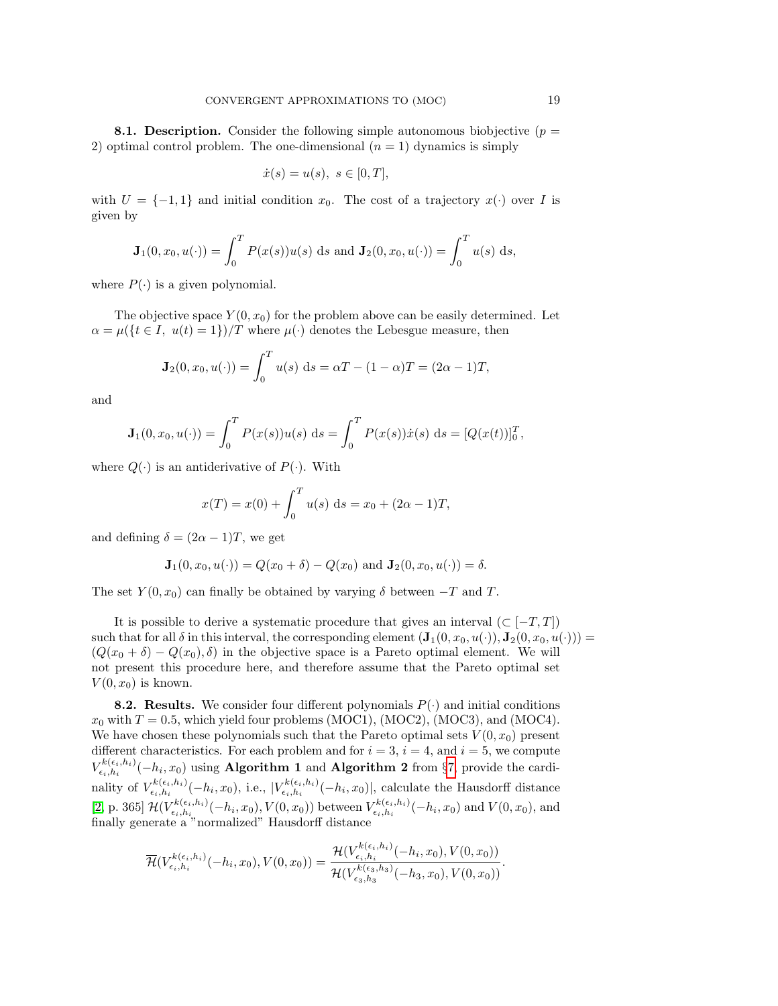**8.1. Description.** Consider the following simple autonomous biobjective ( $p =$ 2) optimal control problem. The one-dimensional  $(n = 1)$  dynamics is simply

$$
\dot{x}(s) = u(s), \ s \in [0, T],
$$

with  $U = \{-1, 1\}$  and initial condition  $x_0$ . The cost of a trajectory  $x(\cdot)$  over I is given by

$$
\mathbf{J}_1(0, x_0, u(\cdot)) = \int_0^T P(x(s))u(s) \, ds \text{ and } \mathbf{J}_2(0, x_0, u(\cdot)) = \int_0^T u(s) \, ds,
$$

where  $P(\cdot)$  is a given polynomial.

The objective space  $Y(0, x_0)$  for the problem above can be easily determined. Let  $\alpha = \mu({t \in I, u(t) = 1})/T$  where  $\mu(\cdot)$  denotes the Lebesgue measure, then

$$
\mathbf{J}_2(0, x_0, u(\cdot)) = \int_0^T u(s) \, ds = \alpha T - (1 - \alpha)T = (2\alpha - 1)T,
$$

and

$$
\mathbf{J}_1(0, x_0, u(\cdot)) = \int_0^T P(x(s))u(s) \, ds = \int_0^T P(x(s))\dot{x}(s) \, ds = [Q(x(t))]_0^T,
$$

where  $Q(\cdot)$  is an antiderivative of  $P(\cdot)$ . With

$$
x(T) = x(0) + \int_0^T u(s) \, ds = x_0 + (2\alpha - 1)T,
$$

and defining  $\delta = (2\alpha - 1)T$ , we get

$$
\mathbf{J}_1(0, x_0, u(\cdot)) = Q(x_0 + \delta) - Q(x_0) \text{ and } \mathbf{J}_2(0, x_0, u(\cdot)) = \delta.
$$

The set  $Y(0, x_0)$  can finally be obtained by varying  $\delta$  between  $-T$  and T.

It is possible to derive a systematic procedure that gives an interval  $(\subset [-T, T])$ such that for all  $\delta$  in this interval, the corresponding element  $(\mathbf{J}_1(0, x_0, u(\cdot)), \mathbf{J}_2(0, x_0, u(\cdot))) =$  $(Q(x_0 + \delta) - Q(x_0), \delta)$  in the objective space is a Pareto optimal element. We will not present this procedure here, and therefore assume that the Pareto optimal set  $V(0, x_0)$  is known.

**8.2. Results.** We consider four different polynomials  $P(\cdot)$  and initial conditions  $x_0$  with  $T = 0.5$ , which yield four problems (MOC1), (MOC2), (MOC3), and (MOC4). We have chosen these polynomials such that the Pareto optimal sets  $V(0, x_0)$  present different characteristics. For each problem and for  $i = 3$ ,  $i = 4$ , and  $i = 5$ , we compute  $V^{k(\epsilon_i,h_i)}_{\epsilon_i,h_i}$  $\sum_{i \in \{i,h_i\}}^{\kappa(\epsilon_i,h_i)}(-h_i,x_0)$  using **Algorithm 1** and **Algorithm 2** from §[7,](#page-15-0) provide the cardinality of  $V_{\epsilon_i,h_i}^{k(\epsilon_i,h_i)}$  $\sum_{\epsilon_i,h_i}^{k(\epsilon_i,h_i)}(-h_i,x_0),$  i.e.,  $|V_{\epsilon_i,h_i}^{k(\epsilon_i,h_i)}|$  $\sum_{i \in \{i, h_i}}^{\kappa(\epsilon_i, h_i)} (-h_i, x_0)$ , calculate the Hausdorff distance [\[2,](#page-23-10) p. 365]  $\mathcal{H}(V_{\epsilon_i,h_i}^{k(\epsilon_i,h_i)})$  $\frac{r^{k(\epsilon_i,h_i)}}{r^{k_i,h_i}}(-h_i,x_0),V(0,x_0))$  between  $V^{k(\epsilon_i,h_i)}_{\epsilon_i,h_i}$  $\sum_{i \in i, h_i}^{k(\epsilon_i, h_i)} (-h_i, x_0)$  and  $V(0, x_0)$ , and finally generate a "normalized" Hausdorff distance

$$
\overline{\mathcal{H}}(V_{\epsilon_i,h_i}^{k(\epsilon_i,h_i)}(-h_i,x_0),V(0,x_0)) = \frac{\mathcal{H}(V_{\epsilon_i,h_i}^{k(\epsilon_i,h_i)}(-h_i,x_0),V(0,x_0))}{\mathcal{H}(V_{\epsilon_3,h_3}^{k(\epsilon_3,h_3)}(-h_3,x_0),V(0,x_0))}.
$$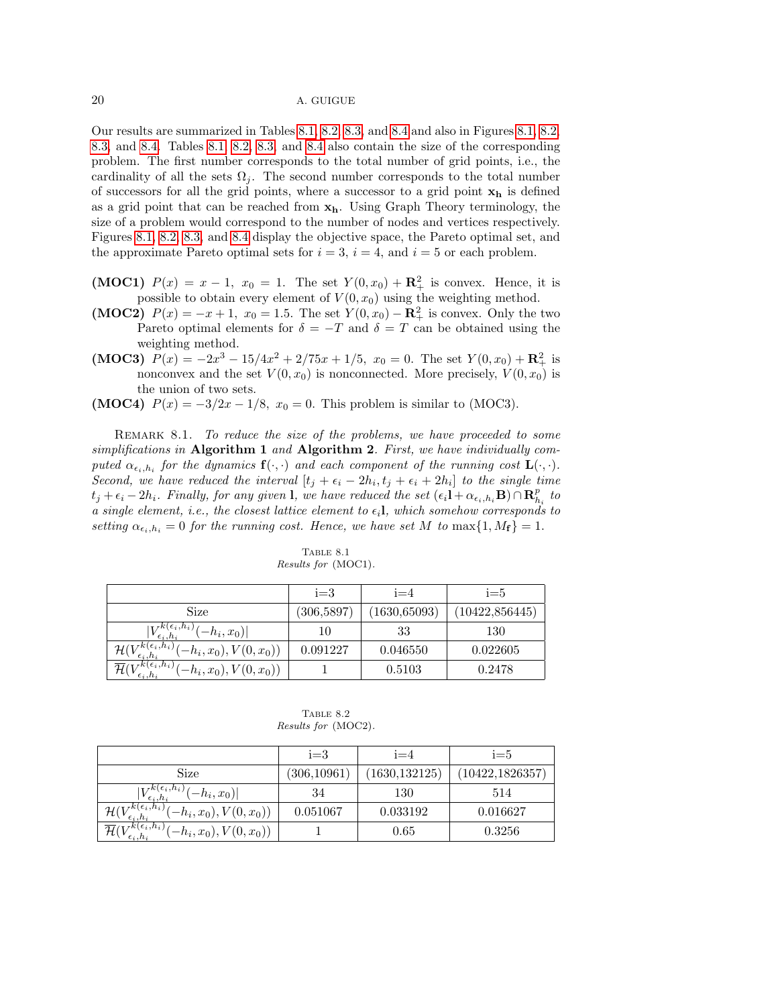Our results are summarized in Tables [8.1,](#page-19-0) [8.2,](#page-19-1) [8.3,](#page-20-0) and [8.4](#page-20-1) and also in Figures [8.1,](#page-20-2) [8.2,](#page-21-0) [8.3,](#page-21-1) and [8.4.](#page-22-0) Tables [8.1,](#page-19-0) [8.2,](#page-19-1) [8.3,](#page-20-0) and [8.4](#page-20-1) also contain the size of the corresponding problem. The first number corresponds to the total number of grid points, i.e., the cardinality of all the sets  $\Omega_j$ . The second number corresponds to the total number of successors for all the grid points, where a successor to a grid point  $x_h$  is defined as a grid point that can be reached from  $x_h$ . Using Graph Theory terminology, the size of a problem would correspond to the number of nodes and vertices respectively. Figures [8.1,](#page-20-2) [8.2,](#page-21-0) [8.3,](#page-21-1) and [8.4](#page-22-0) display the objective space, the Pareto optimal set, and the approximate Pareto optimal sets for  $i = 3$ ,  $i = 4$ , and  $i = 5$  or each problem.

- (MOC1)  $P(x) = x 1$ ,  $x_0 = 1$ . The set  $Y(0, x_0) + \mathbf{R}^2_+$  is convex. Hence, it is possible to obtain every element of  $V(0, x_0)$  using the weighting method.
- (MOC2)  $P(x) = -x + 1$ ,  $x_0 = 1.5$ . The set  $Y(0, x_0) \mathbf{R}_+^2$  is convex. Only the two Pareto optimal elements for  $\delta = -T$  and  $\delta = T$  can be obtained using the weighting method.
- (MOC3)  $P(x) = -2x^3 15/4x^2 + 2/75x + 1/5$ ,  $x_0 = 0$ . The set  $Y(0, x_0) + \mathbf{R}^2_+$  is nonconvex and the set  $V(0, x_0)$  is nonconnected. More precisely,  $V(0, x_0)$  is the union of two sets.
- (MOC4)  $P(x) = -3/2x 1/8$ ,  $x_0 = 0$ . This problem is similar to (MOC3).

REMARK 8.1. To reduce the size of the problems, we have proceeded to some simplifications in Algorithm 1 and Algorithm 2. First, we have individually computed  $\alpha_{\epsilon_i,h_i}$  for the dynamics  $\mathbf{f}(\cdot,\cdot)$  and each component of the running cost  $\mathbf{L}(\cdot,\cdot)$ . Second, we have reduced the interval  $[t_j + \epsilon_i - 2h_i, t_j + \epsilon_i + 2h_i]$  to the single time  $t_j + \epsilon_i - 2h_i$ . Finally, for any given l, we have reduced the set  $(\epsilon_i \mathbf{l} + \alpha_{\epsilon_i,h_i} \mathbf{B}) \cap \mathbf{R}_{h_i}^p$  to a single element, i.e., the closest lattice element to  $\epsilon_i$ , which somehow corresponds to setting  $\alpha_{\epsilon_i,h_i} = 0$  for the running cost. Hence, we have set M to max $\{1,M_f\} = 1$ .

|                                                   | $i=3$       | $i=4$         | $i=5$           |
|---------------------------------------------------|-------------|---------------|-----------------|
| Size                                              | (306, 5897) | (1630, 65093) | (10422, 856445) |
| $-h_i, x_0$<br>$\epsilon_i, h_i$                  |             | 33            | 130             |
| $\epsilon_i, h_i$ )<br>$(-h_i, x_0), V(0, x_0))$  | 0.091227    | 0.046550      | 0.022605        |
| $rk(\epsilon_i,h_i)$<br>$(-h_i, x_0), V(0, x_0))$ |             | 0.5103        | 0.2478          |

<span id="page-19-0"></span>Table 8.1 Results for (MOC1).

<span id="page-19-1"></span>TABLE 8.2 Results for (MOC2).

|                                                                                                 | $i=3$        | $i = 4$        | $i = 5$          |
|-------------------------------------------------------------------------------------------------|--------------|----------------|------------------|
| Size                                                                                            | (306, 10961) | (1630, 132125) | (10422, 1826357) |
| $(\epsilon_i, h_i)$<br>$-h_i, x_0$                                                              | 34           | 130            | 514              |
| $k(\epsilon_i, h_i)$<br>$(-h_i,x_0),V(0,x_0))$<br>H(                                            | 0.051067     | 0.033192       | 0.016627         |
| $\overline{\mathcal{H}}(V^{k(\epsilon_i,h_i)}_{\epsilon\cdots h})$<br>$(-h_i, x_0), V(0, x_0))$ |              | $0.65\,$       | 0.3256           |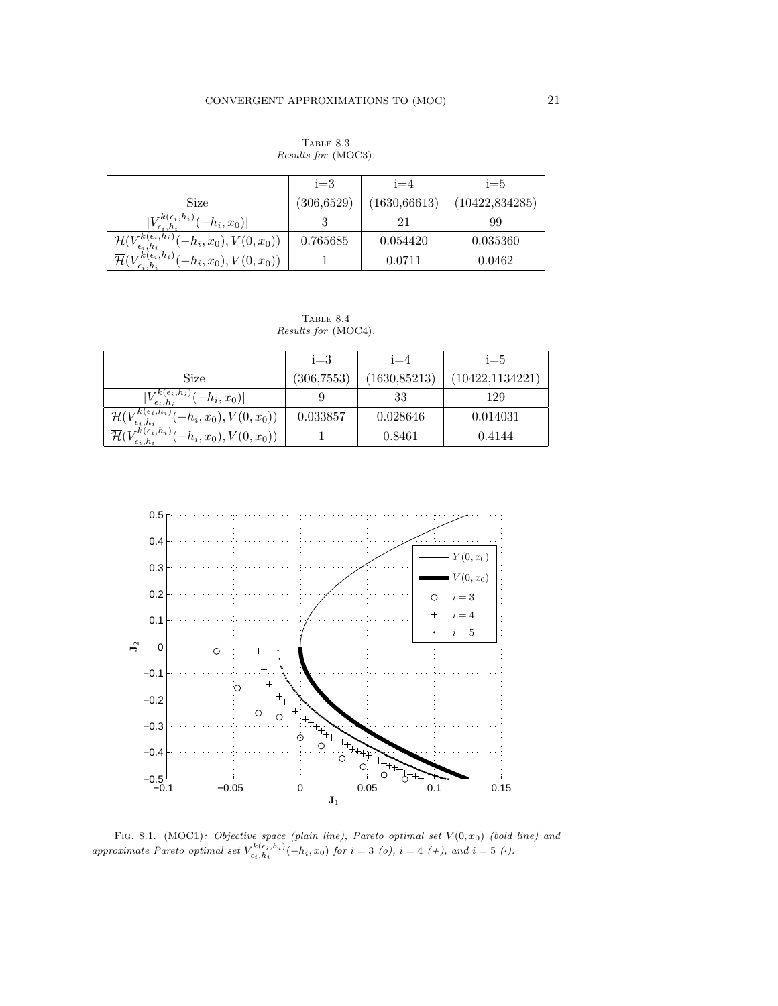<span id="page-20-0"></span>TABLE 8.3 Results for (MOC3).

|                                                        | $i=3$       | $i=4$         | $i=5$           |
|--------------------------------------------------------|-------------|---------------|-----------------|
| Size                                                   | (306, 6529) | (1630, 66613) | (10422, 834285) |
| $(\epsilon_i, h_i)$<br>$-h_i, x_0$                     |             |               | 99              |
| $(\epsilon_i, h_i)$<br>$(-h_i, x_0), V(0, x_0))$<br>HΙ | 0.765685    | 0.054420      | 0.035360        |
| $rk(\epsilon_i,h_i)$<br>$(-h_i, x_0), V(0, x_0))$      |             | 0.0711        | 0.0462          |

<span id="page-20-1"></span>TABLE 8.4 Results for (MOC4).

|                                                           | $i=3$       | $i = 4$       | $i = 5$          |
|-----------------------------------------------------------|-------------|---------------|------------------|
| Size                                                      | (306, 7553) | (1630, 85213) | (10422, 1134221) |
| $V_{\epsilon_i,h_i}^{k(\epsilon_i,h_i)}$<br>$[-h_i, x_0]$ |             | 33            | 129              |
| $(\epsilon_i, h_i)$<br>$-h_i, x_0), V(0, x_0))$<br>H(     | 0.033857    | 0.028646      | 0.014031         |
| $rk(\epsilon_i,h_i)$<br>$(-h_i, x_0), V(0, x_0))$         |             | 0.8461        | 0.4144           |



<span id="page-20-2"></span>FIG. 8.1. (MOC1): Objective space (plain line), Pareto optimal set  $V(0, x_0)$  (bold line) and approximate Pareto optimal set  $V_{\epsilon_i,h_i}^{k(\epsilon_i,h_i)}(-h_i,x_0)$  for  $i=3$  (o),  $i=4$  (+), and  $i=5$  ( $\cdot$ ).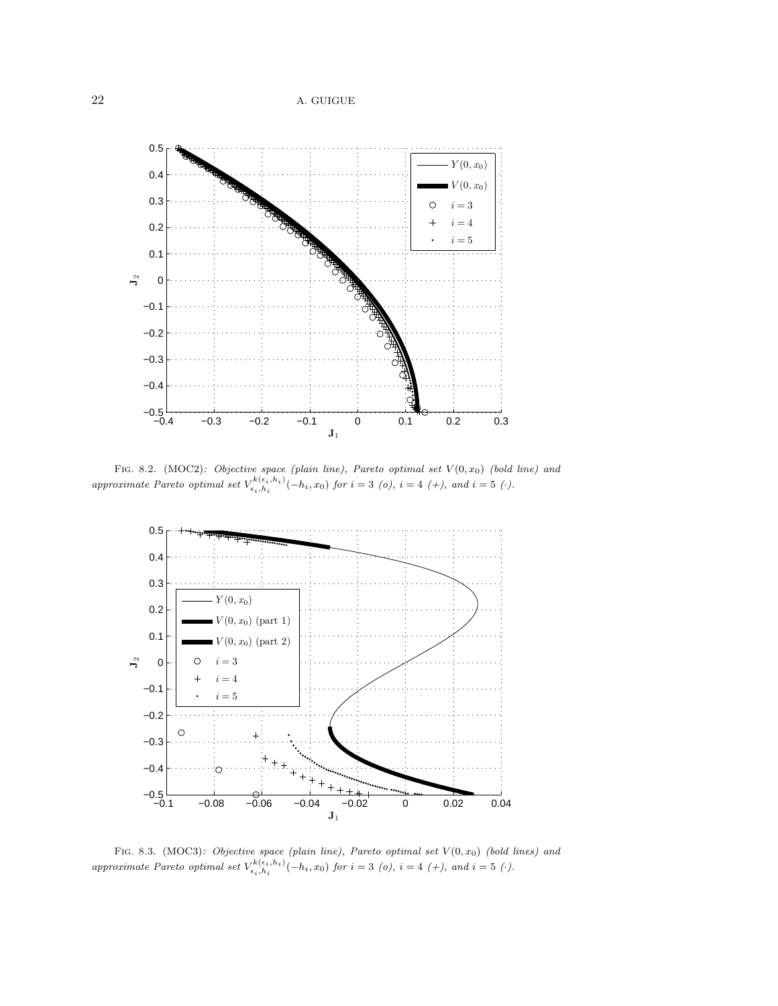

<span id="page-21-0"></span>FIG. 8.2. (MOC2): Objective space (plain line), Pareto optimal set  $V(0, x_0)$  (bold line) and approximate Pareto optimal set  $V_{\epsilon_i,h_i}^{k(\epsilon_i,h_i)}(-h_i,x_0)$  for  $i=3$  (o),  $i=4$  (+), and  $i=5$  ( $\cdot$ ).



<span id="page-21-1"></span>FIG. 8.3. (MOC3): Objective space (plain line), Pareto optimal set  $V(0, x_0)$  (bold lines) and approximate Pareto optimal set  $V_{\epsilon_i,h_i}^{k(\epsilon_i,h_i)}(-h_i,x_0)$  for  $i=3$  (o),  $i=4$  (+), and  $i=5$  ( $\cdot$ ).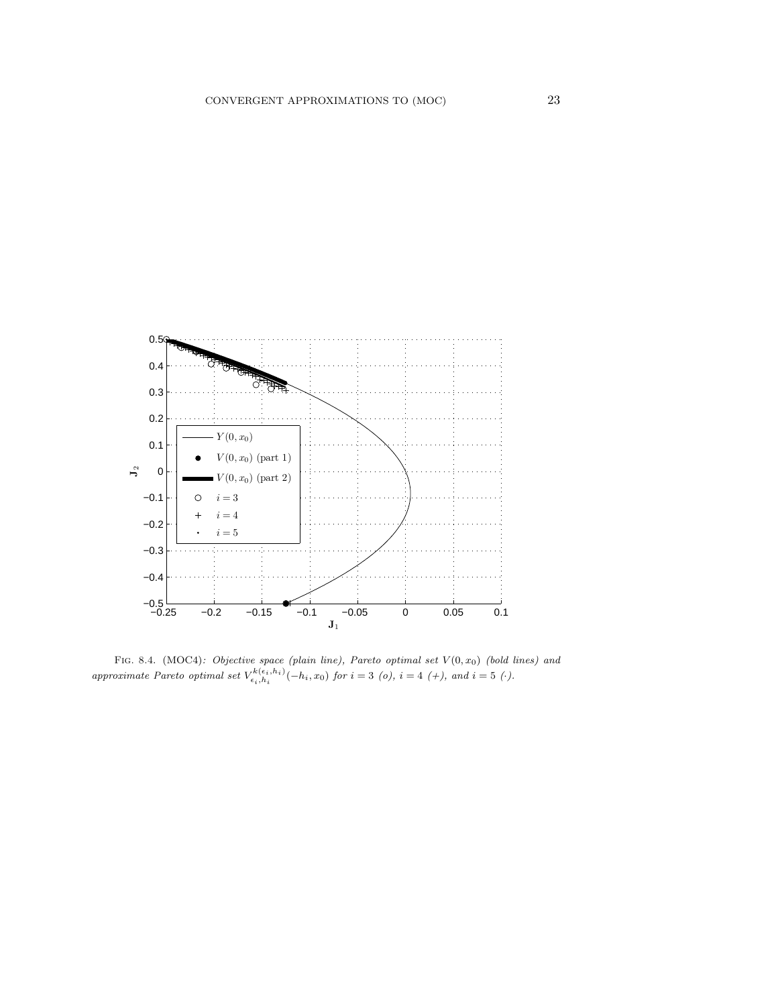

<span id="page-22-0"></span>FIG. 8.4. (MOC4): Objective space (plain line), Pareto optimal set  $V(0, x_0)$  (bold lines) and approximate Pareto optimal set  $V_{\epsilon_i,h_i}^{k(\epsilon_i,h_i)}(-h_i,x_0)$  for  $i=3$  (o),  $i=4$  (+), and  $i=5$  ( $\cdot$ ).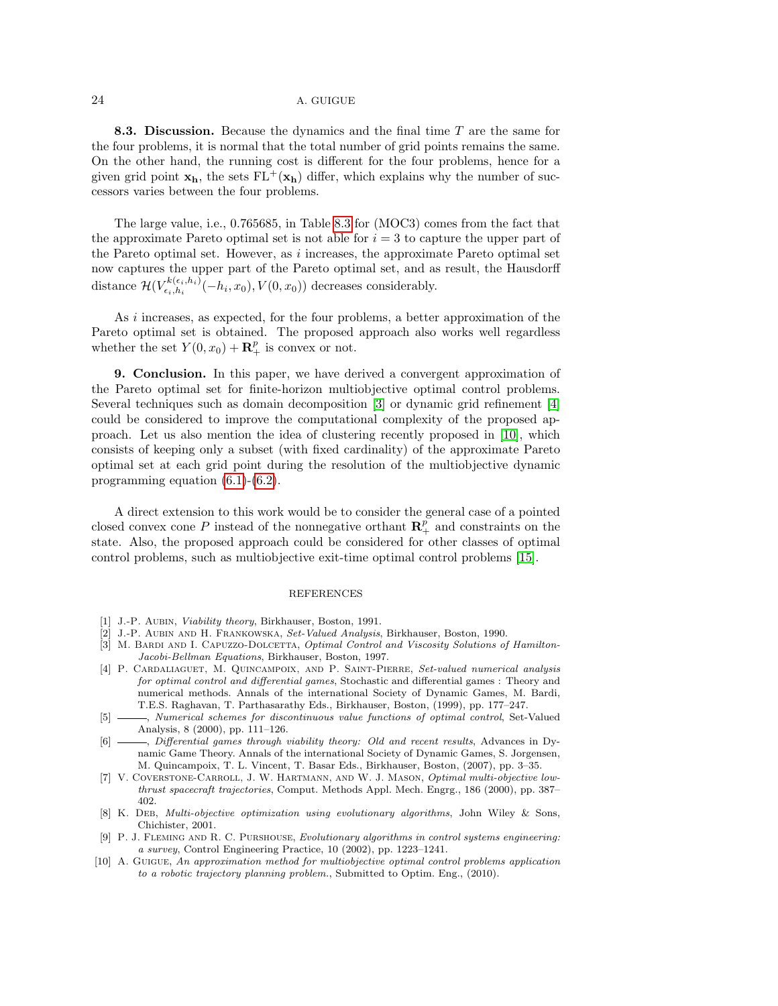8.3. Discussion. Because the dynamics and the final time  $T$  are the same for the four problems, it is normal that the total number of grid points remains the same. On the other hand, the running cost is different for the four problems, hence for a given grid point  $\mathbf{x}_h$ , the sets  $FL^+(\mathbf{x}_h)$  differ, which explains why the number of successors varies between the four problems.

The large value, i.e., 0.765685, in Table [8.3](#page-20-0) for (MOC3) comes from the fact that the approximate Pareto optimal set is not able for  $i = 3$  to capture the upper part of the Pareto optimal set. However, as  $i$  increases, the approximate Pareto optimal set now captures the upper part of the Pareto optimal set, and as result, the Hausdorff distance  $\mathcal{H}(V^{k(\epsilon_i,h_i)}_{\epsilon_i,h_i})$  $\tau_{\epsilon_i,h_i}^{\kappa(\epsilon_i,h_i)}(-h_i,x_0),V(0,x_0))$  decreases considerably.

As i increases, as expected, for the four problems, a better approximation of the Pareto optimal set is obtained. The proposed approach also works well regardless whether the set  $Y(0, x_0) + \mathbf{R}_+^p$  is convex or not.

<span id="page-23-8"></span>9. Conclusion. In this paper, we have derived a convergent approximation of the Pareto optimal set for finite-horizon multiobjective optimal control problems. Several techniques such as domain decomposition [\[3\]](#page-23-9) or dynamic grid refinement [\[4\]](#page-23-0) could be considered to improve the computational complexity of the proposed approach. Let us also mention the idea of clustering recently proposed in [\[10\]](#page-23-7), which consists of keeping only a subset (with fixed cardinality) of the approximate Pareto optimal set at each grid point during the resolution of the multiobjective dynamic programming equation [\(6.1\)](#page-11-0)-[\(6.2\)](#page-11-1).

A direct extension to this work would be to consider the general case of a pointed closed convex cone P instead of the nonnegative orthant  $\mathbb{R}^p_+$  and constraints on the state. Also, the proposed approach could be considered for other classes of optimal control problems, such as multiobjective exit-time optimal control problems [\[15\]](#page-24-4).

### REFERENCES

- <span id="page-23-5"></span>[1] J.-P. AUBIN, *Viability theory*, Birkhauser, Boston, 1991.
- <span id="page-23-10"></span>[2] J.-P. Aubin and H. Frankowska, Set-Valued Analysis, Birkhauser, Boston, 1990.
- <span id="page-23-9"></span>[3] M. BARDI AND I. CAPUZZO-DOLCETTA, Optimal Control and Viscosity Solutions of Hamilton-Jacobi-Bellman Equations, Birkhauser, Boston, 1997.
- <span id="page-23-0"></span>[4] P. CARDALIAGUET, M. QUINCAMPOIX, AND P. SAINT-PIERRE, Set-valued numerical analysis for optimal control and differential games, Stochastic and differential games : Theory and numerical methods. Annals of the international Society of Dynamic Games, M. Bardi, T.E.S. Raghavan, T. Parthasarathy Eds., Birkhauser, Boston, (1999), pp. 177–247.
- <span id="page-23-1"></span>[5]  $\_\_\_\_\$ , Numerical schemes for discontinuous value functions of optimal control, Set-Valued Analysis, 8 (2000), pp. 111–126.
- <span id="page-23-6"></span>[6]  $\qquad \qquad$ , Differential games through viability theory: Old and recent results, Advances in Dynamic Game Theory. Annals of the international Society of Dynamic Games, S. Jorgensen, M. Quincampoix, T. L. Vincent, T. Basar Eds., Birkhauser, Boston, (2007), pp. 3–35.
- <span id="page-23-2"></span>[7] V. Coverstone-Carroll, J. W. Hartmann, and W. J. Mason, Optimal multi-objective lowthrust spacecraft trajectories, Comput. Methods Appl. Mech. Engrg., 186 (2000), pp. 387– 402.
- <span id="page-23-3"></span>[8] K. DEB, Multi-objective optimization using evolutionary algorithms, John Wiley & Sons, Chichister, 2001.
- <span id="page-23-4"></span>[9] P. J. Fleming and R. C. Purshouse, Evolutionary algorithms in control systems engineering: a survey, Control Engineering Practice, 10 (2002), pp. 1223–1241.
- <span id="page-23-7"></span>[10] A. Guigue, An approximation method for multiobjective optimal control problems application to a robotic trajectory planning problem., Submitted to Optim. Eng., (2010).